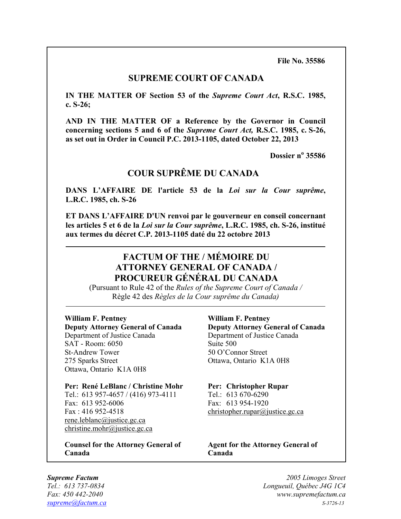**File No. 35586**

# **SUPREME COURT OF CANADA**

**IN THE MATTER OF Section 53 of the** *Supreme Court Act***, R.S.C. 1985, c. S-26;**

**AND IN THE MATTER OF a Reference by the Governor in Council concerning sections 5 and 6 of the** *Supreme Court Act,* **R.S.C. 1985, c. S-26, as set out in Order in Council P.C. 2013-1105, dated October 22, 2013**

**Dossier n<sup>o</sup> 35586**

# **COUR SUPRÊME DU CANADA**

**DANS L'AFFAIRE DE l'article 53 de la** *Loi sur la Cour suprême***, L.R.C. 1985, ch. S-26**

**ET DANS L'AFFAIRE D'UN renvoi par le gouverneur en conseil concernant les articles 5 et 6 de la** *Loi sur la Cour suprême***, L.R.C. 1985, ch. S-26, institué aux termes du décret C.P. 2013-1105 daté du 22 octobre 2013**

# **FACTUM OF THE / MÉMOIRE DU ATTORNEY GENERAL OF CANADA / PROCUREUR GÉNÉRAL DU CANADA**

(Pursuant to Rule 42 of the *Rules of the Supreme Court of Canada /* Règle 42 des *Règles de la Cour suprême du Canada)*

# **William F. Pentney**

**Deputy Attorney General of Canada** Department of Justice Canada SAT - Room: 6050 St-Andrew Tower 275 Sparks Street

Ottawa, Ontario K1A 0H8

# **Per: René LeBlanc / Christine Mohr**

Tel.: 613 957-4657 / (416) 973-4111 Fax: 613 952-6006 Fax : 416 952-4518 rene.leblanc@justice.gc.ca christine.mohr@justice.gc.ca

**Counsel for the Attorney General of Canada**

# **William F. Pentney Deputy Attorney General of Canada** Department of Justice Canada Suite 500 50 O'Connor Street Ottawa, Ontario K1A 0H8

# **Per: Christopher Rupar**

Tel.: 613 670-6290 Fax: 613 954-1920 christopher.rupar@justice.gc.ca

**Agent for the Attorney General of Canada**

*Supreme Factum 2005 Limoges Street Tel.: 613 737-0834 Longueuil, Québec J4G 1C4 Fax: 450 442-2040 www.supremefactum.ca [supreme@factum.ca](mailto:supreme@factum.ca) S-3726-13*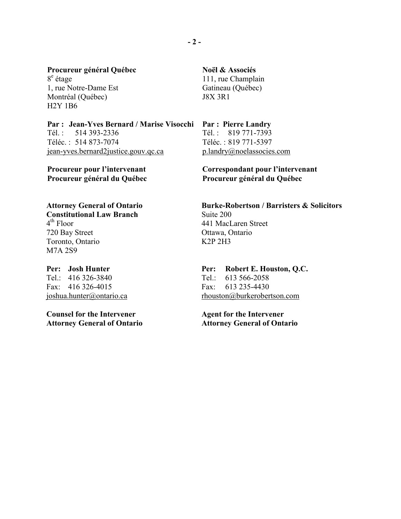**Procureur général Québec** 8e étage 1, rue Notre-Dame Est Montréal (Québec) H2Y 1B6

**Par : Jean-Yves Bernard / Marise Visocchi** Tél. : 514 393-2336 Téléc. : 514 873-7074 jean-yves.bernard2justice.gouv.qc.ca

**Procureur pour l'intervenant Procureur général du Québec**

# **Attorney General of Ontario Constitutional Law Branch**  $4<sup>th</sup>$  Floor 720 Bay Street Toronto, Ontario M7A 2S9

**Per: Josh Hunter** Tel.: 416 326-3840 Fax: 416 326-4015 joshua.hunter@ontario.ca

**Counsel for the Intervener Attorney General of Ontario** **Noël & Associés** 111, rue Champlain Gatineau (Québec) J8X 3R1

**Par : Pierre Landry** Tél. : 819 771-7393 Téléc. : 819 771-5397 p.landry@noelassocies.com

**Correspondant pour l'intervenant Procureur général du Québec**

**Burke-Robertson / Barristers & Solicitors** Suite 200 441 MacLaren Street Ottawa, Ontario K2P 2H3

**Per: Robert E. Houston, Q.C.** Tel.: 613 566-2058<br>Fax: 613 235-4430 613 235-4430 rhouston@burkerobertson.com

**Agent for the Intervener Attorney General of Ontario**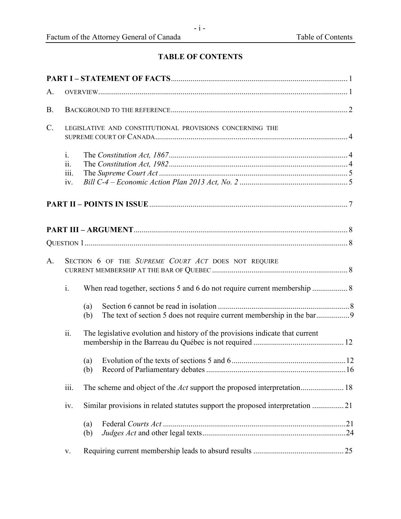# **TABLE OF CONTENTS**

| A.             |                                                          |            |                                                                               |  |  |
|----------------|----------------------------------------------------------|------------|-------------------------------------------------------------------------------|--|--|
| B <sub>r</sub> |                                                          |            |                                                                               |  |  |
| C.             | LEGISLATIVE AND CONSTITUTIONAL PROVISIONS CONCERNING THE |            |                                                                               |  |  |
|                | $\mathbf{i}$ .<br>11.<br>111.<br>1V.                     |            |                                                                               |  |  |
|                |                                                          |            |                                                                               |  |  |
|                |                                                          |            |                                                                               |  |  |
|                |                                                          |            |                                                                               |  |  |
| A.             | SECTION 6 OF THE SUPREME COURT ACT DOES NOT REQUIRE      |            |                                                                               |  |  |
|                | $\mathbf{i}$ .                                           |            |                                                                               |  |  |
|                |                                                          | (a)<br>(b) | The text of section 5 does not require current membership in the bar9         |  |  |
|                | ii.                                                      |            | The legislative evolution and history of the provisions indicate that current |  |  |
|                |                                                          | (a)<br>(b) |                                                                               |  |  |
|                | iii.                                                     |            |                                                                               |  |  |
|                | iv.                                                      |            |                                                                               |  |  |
|                |                                                          | (a)<br>(b) |                                                                               |  |  |
|                | V.                                                       |            |                                                                               |  |  |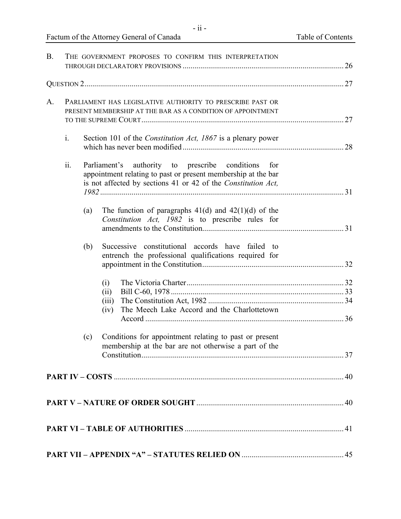|  |  | Factum of the Attorney General of Canada |
|--|--|------------------------------------------|
|  |  |                                          |

| <b>B.</b> |                | THE GOVERNMENT PROPOSES TO CONFIRM THIS INTERPRETATION |                                                                                                                                                                                         |  |
|-----------|----------------|--------------------------------------------------------|-----------------------------------------------------------------------------------------------------------------------------------------------------------------------------------------|--|
|           |                |                                                        |                                                                                                                                                                                         |  |
| A.        |                |                                                        | PARLIAMENT HAS LEGISLATIVE AUTHORITY TO PRESCRIBE PAST OR<br>PRESENT MEMBERSHIP AT THE BAR AS A CONDITION OF APPOINTMENT                                                                |  |
|           | $\mathbf{i}$ . |                                                        | Section 101 of the <i>Constitution Act</i> , 1867 is a plenary power                                                                                                                    |  |
|           | ii.            |                                                        | Parliament's authority to prescribe conditions<br>for<br>appointment relating to past or present membership at the bar<br>is not affected by sections 41 or 42 of the Constitution Act, |  |
|           |                | (a)                                                    | The function of paragraphs $41(d)$ and $42(1)(d)$ of the<br>Constitution Act, 1982 is to prescribe rules for                                                                            |  |
|           |                | (b)                                                    | Successive constitutional accords have failed to<br>entrench the professional qualifications required for                                                                               |  |
|           |                |                                                        | (i)<br>(ii)<br>(iii)<br>The Meech Lake Accord and the Charlottetown<br>(iv)                                                                                                             |  |
|           |                | (c)                                                    | Conditions for appointment relating to past or present<br>membership at the bar are not otherwise a part of the                                                                         |  |
|           |                |                                                        |                                                                                                                                                                                         |  |
|           |                |                                                        |                                                                                                                                                                                         |  |
|           |                |                                                        |                                                                                                                                                                                         |  |
|           |                |                                                        |                                                                                                                                                                                         |  |

- ii -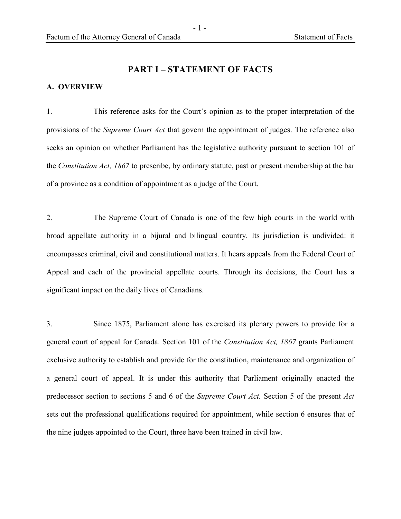# **PART I – STATEMENT OF FACTS**

# <span id="page-4-1"></span><span id="page-4-0"></span>**A. OVERVIEW**

1. This reference asks for the Court's opinion as to the proper interpretation of the provisions of the *Supreme Court Act* that govern the appointment of judges. The reference also seeks an opinion on whether Parliament has the legislative authority pursuant to section 101 of the *Constitution Act, 1867* to prescribe, by ordinary statute, past or present membership at the bar of a province as a condition of appointment as a judge of the Court.

2. The Supreme Court of Canada is one of the few high courts in the world with broad appellate authority in a bijural and bilingual country. Its jurisdiction is undivided: it encompasses criminal, civil and constitutional matters. It hears appeals from the Federal Court of Appeal and each of the provincial appellate courts. Through its decisions, the Court has a significant impact on the daily lives of Canadians.

3. Since 1875, Parliament alone has exercised its plenary powers to provide for a general court of appeal for Canada. Section 101 of the *Constitution Act, 1867* grants Parliament exclusive authority to establish and provide for the constitution, maintenance and organization of a general court of appeal. It is under this authority that Parliament originally enacted the predecessor section to sections 5 and 6 of the *Supreme Court Act.* Section 5 of the present *Act* sets out the professional qualifications required for appointment, while section 6 ensures that of the nine judges appointed to the Court, three have been trained in civil law.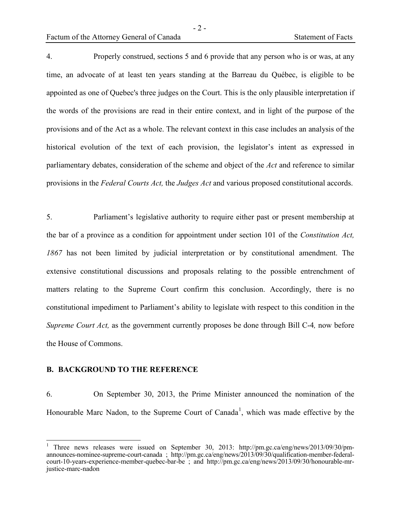4. Properly construed, sections 5 and 6 provide that any person who is or was, at any time, an advocate of at least ten years standing at the Barreau du Québec, is eligible to be appointed as one of Quebec's three judges on the Court. This is the only plausible interpretation if the words of the provisions are read in their entire context, and in light of the purpose of the provisions and of the Act as a whole. The relevant context in this case includes an analysis of the historical evolution of the text of each provision, the legislator's intent as expressed in parliamentary debates, consideration of the scheme and object of the *Act* and reference to similar provisions in the *Federal Courts Act,* the *Judges Act* and various proposed constitutional accords.

5. Parliament's legislative authority to require either past or present membership at the bar of a province as a condition for appointment under section 101 of the *Constitution Act, 1867* has not been limited by judicial interpretation or by constitutional amendment. The extensive constitutional discussions and proposals relating to the possible entrenchment of matters relating to the Supreme Court confirm this conclusion. Accordingly, there is no constitutional impediment to Parliament's ability to legislate with respect to this condition in the *Supreme Court Act,* as the government currently proposes be done through Bill C-4*,* now before the House of Commons.

### <span id="page-5-0"></span>**B. BACKGROUND TO THE REFERENCE**

6. On September 30, 2013, the Prime Minister announced the nomination of the Honourable Marc Nadon, to the Supreme Court of Canada<sup>[1](#page-5-1)</sup>, which was made effective by the

 $-2 -$ 

<span id="page-5-1"></span> <sup>1</sup> Three news releases were issued on September 30, 2013: http://pm.gc.ca/eng/news/2013/09/30/pmannounces-nominee-supreme-court-canada ; http://pm.gc.ca/eng/news/2013/09/30/qualification-member-federalcourt-10-years-experience-member-quebec-bar-be ; and http://pm.gc.ca/eng/news/2013/09/30/honourable-mrjustice-marc-nadon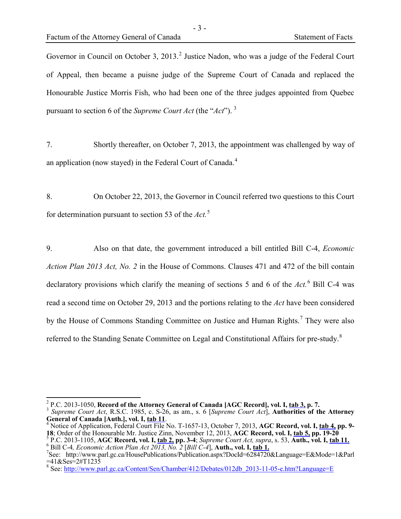Governor in Council on October 3, [2](#page-6-0)013.<sup>2</sup> Justice Nadon, who was a judge of the Federal Court of Appeal, then became a puisne judge of the Supreme Court of Canada and replaced the Honourable Justice Morris Fish, who had been one of the three judges appointed from Quebec pursuant to section 6 of the *Supreme Court Act* (the "*Act*"). [3](#page-6-1)

7. Shortly thereafter, on October 7, 2013, the appointment was challenged by way of an application (now stayed) in the Federal Court of Canada.<sup>[4](#page-6-2)</sup>

8. On October 22, 2013, the Governor in Council referred two questions to this Court for determination pursuant to section 53 of the *Act.* [5](#page-6-3)

9. Also on that date, the government introduced a bill entitled Bill C-4, *Economic Action Plan 2013 Act, No. 2* in the House of Commons. Clauses 471 and 472 of the bill contain declaratory provisions which clarify the meaning of sections 5 and 6 of the *Act.*[6](#page-6-4) Bill C-4 was read a second time on October 29, 2013 and the portions relating to the *Act* have been considered by the House of Commons Standing Committee on Justice and Human Rights.<sup>[7](#page-6-5)</sup> They were also referred to the Standing Senate Committee on Legal and Constitutional Affairs for pre-study.<sup>[8](#page-6-6)</sup>

- 3 -

<span id="page-6-0"></span><sup>&</sup>lt;sup>2</sup> P.C. 2013-1050, Record of the Attorney General of Canada [AGC Record], vol. [I, tab 3,](#page-29-1) p. 7.<br><sup>3</sup> Supreme Court Act, R.S.C. 1985, c. S-26, as am., s. 6 [Supreme Court Act], Authorities of the Attorney

<span id="page-6-1"></span>General of Canada [Auth.], vol. I, <u>tab 11</u>.<br><sup>4</sup> Notice of Application, Federal Court File No. T-1657-13, October 7, 2013, AGC Record, vol. I, <u>tab 4</u>, pp. 9-

<span id="page-6-2"></span>**<sup>18</sup>**; Order of the Honourable Mr. Justice Zinn, November 12, 2013, **AGC Record, vol. [I, tab 5, p](#page-43-2)p. 19-20**

<span id="page-6-4"></span><span id="page-6-3"></span><sup>5</sup> P.C. 2013-1105, **AGC Record, vol. I[, tab 2, p](#page-24-2)p. 3-4**; *Supreme Court Act, supra*, s. 53, **Auth., vol. I[, tab](#page-140-0) 11.** <sup>6</sup> Bill C-4*, Economic Action Plan Act 2013, No. 2* [*Bill C-4*], **Auth., vol. I[, tab 1.](#page-11-5)** <sup>7</sup>

<span id="page-6-5"></span><sup>&</sup>lt;sup>7</sup>See: http://www.parl.gc.ca/HousePublications/Publication.aspx?DocId=6284720&Language=E&Mode=1&Parl  $=41$ &Ses=2#T1235

<span id="page-6-6"></span><sup>&</sup>lt;sup>8</sup> See: http://www.parl.gc.ca/Content/Sen/Chamber/412/Debates/012db 2013-11-05-e.htm?Language=E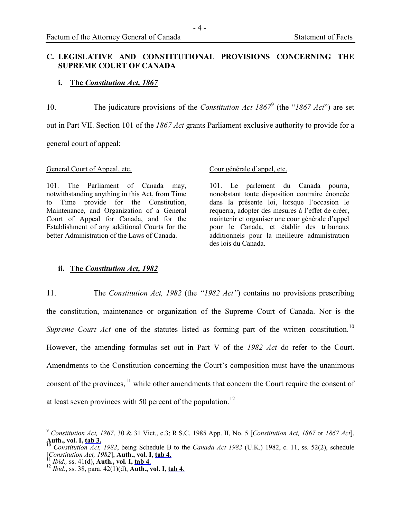# <span id="page-7-0"></span>**C. LEGISLATIVE AND CONSTITUTIONAL PROVISIONS CONCERNING THE SUPREME COURT OF CANADA**

# <span id="page-7-1"></span>**i. The** *Constitution Act, 1867*

10. The judicature provisions of the *Constitution Act 1867*[9](#page-7-3) (the "*1867 Act*") are set out in Part VII. Section 101 of the *1867 Act* grants Parliament exclusive authority to provide for a general court of appeal:

General Court of Appeal, etc.

101. The Parliament of Canada may, notwithstanding anything in this Act, from Time to Time provide for the Constitution, Maintenance, and Organization of a General Court of Appeal for Canada, and for the Establishment of any additional Courts for the better Administration of the Laws of Canada.

Cour générale d'appel, etc.

101. Le parlement du Canada pourra, nonobstant toute disposition contraire énoncée dans la présente loi, lorsque l'occasion le requerra, adopter des mesures à l'effet de créer, maintenir et organiser une cour générale d'appel pour le Canada, et établir des tribunaux additionnels pour la meilleure administration des lois du Canada.

# <span id="page-7-2"></span>**ii. The** *Constitution Act, 1982*

11. The *Constitution Act, 1982* (the *"1982 Act"*) contains no provisions prescribing the constitution, maintenance or organization of the Supreme Court of Canada. Nor is the *Supreme Court Act* one of the statutes listed as forming part of the written constitution.<sup>[10](#page-7-4)</sup> However, the amending formulas set out in Part V of the *1982 Act* do refer to the Court. Amendments to the Constitution concerning the Court's composition must have the unanimous consent of the provinces,<sup>[11](#page-7-5)</sup> while other amendments that concern the Court require the consent of at least seven provinces with 50 percent of the population.<sup>[12](#page-7-6)</sup>

<span id="page-7-3"></span> <sup>9</sup> *Constitution Act, 1867*, 30 & 31 Vict., c.3; R.S.C. 1985 App. II, No. 5 [*Constitution Act, 1867* or *1867 Act*], **Auth., vol. I[, tab 3.](#page-24-2)**

<span id="page-7-4"></span><sup>&</sup>lt;sup>10</sup> *Constitution Act, 1982*, being Schedule B to the *Canada Act 1982* (U.K.) 1982, c. 11, ss. 52(2), schedule [*Constitution Act, 1982*], **Auth., vol. I, [tab 4.](#page-39-1)** <sup>11</sup> *Ibid.,* ss. 41(d), **Auth., vol. [I, tab 4](#page-37-1)**. <sup>12</sup> *Ibid.*, ss. 38, para. 42(1)(d), **Auth., vol. I, [tab 4](#page-37-1)**.

<span id="page-7-5"></span>

<span id="page-7-6"></span>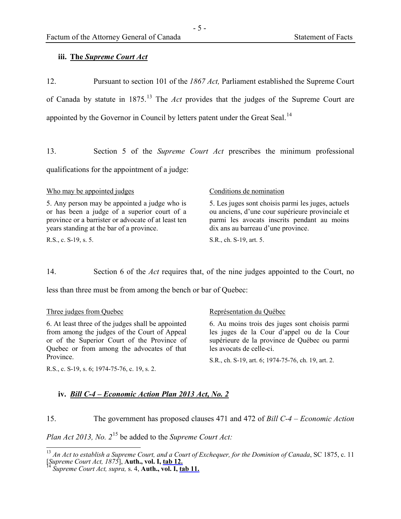# <span id="page-8-0"></span>**iii. The** *Supreme Court Act*

12. Pursuant to section 101 of the *1867 Act,* Parliament established the Supreme Court of Canada by statute in 1875.[13](#page-8-2) The *Act* provides that the judges of the Supreme Court are appointed by the Governor in Council by letters patent under the Great Seal.<sup>[14](#page-8-3)</sup>

13. Section 5 of the *Supreme Court Act* prescribes the minimum professional qualifications for the appointment of a judge:

# Who may be appointed judges

5. Any person may be appointed a judge who is or has been a judge of a superior court of a province or a barrister or advocate of at least ten years standing at the bar of a province.

R.S., c. S-19, s. 5.

# Conditions de nomination

5. Les juges sont choisis parmi les juges, actuels ou anciens, d'une cour supérieure provinciale et parmi les avocats inscrits pendant au moins dix ans au barreau d'une province.

S.R., ch. S-19, art. 5.

14. Section 6 of the *Act* requires that, of the nine judges appointed to the Court, no

less than three must be from among the bench or bar of Quebec:

# Three judges from Quebec

6. At least three of the judges shall be appointed from among the judges of the Court of Appeal or of the Superior Court of the Province of Quebec or from among the advocates of that **Province** 

# Représentation du Québec

6. Au moins trois des juges sont choisis parmi les juges de la Cour d'appel ou de la Cour supérieure de la province de Québec ou parmi les avocats de celle-ci.

S.R., ch. S-19, art. 6; 1974-75-76, ch. 19, art. 2.

R.S., c. S-19, s. 6; 1974-75-76, c. 19, s. 2.

# <span id="page-8-1"></span>**iv.** *Bill C-4 – Economic Action Plan 2013 Act, No. 2*

# 15. The government has proposed clauses 471 and 472 of *Bill C-4 – Economic Action*

*Plan Act 2013, No. 2*[15](#page-8-3) be added to the *Supreme Court Act:* 

<span id="page-8-2"></span> <sup>13</sup> *An Act to establish a Supreme Court, and a Court of Exchequer, for the Dominion of Canada*, SC 1875, c. 11 [*Supreme Court Act, 1875*], **Auth., vol. I, [tab 12.](#page-158-0)** <sup>14</sup> *Supreme Court Act, supra,* s. 4, **Auth., vol. I[, tab 11.](#page-128-0)**

<span id="page-8-3"></span>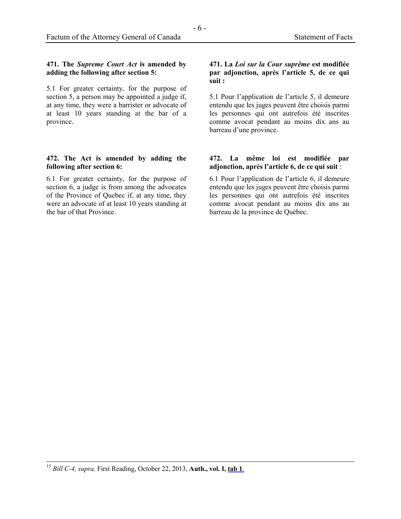#### **471. The** *Supreme Court Act* **is amended by adding the following after section 5:**

5.1 For greater certainty, for the purpose of section 5, a person may be appointed a judge if, at any time, they were a barrister or advocate of at least 10 years standing at the bar of a province.

# **472. The Act is amended by adding the following after section 6:**

6.1 For greater certainty, for the purpose of section 6, a judge is from among the advocates of the Province of Quebec if, at any time, they were an advocate of at least 10 years standing at the bar of that Province.

# **471. La** *Loi sur la Cour suprême* **est modifiée par adjonction, après l'article 5, de ce qui suit :**

5.1 Pour l'application de l'article 5, il demeure entendu que les juges peuvent être choisis parmi les personnes qui ont autrefois été inscrites comme avocat pendant au moins dix ans au barreau d'une province.

# **472. La même loi est modifiée par adjonction, après l'article 6, de ce qui suit** :

6.1 Pour l'application de l'article 6, il demeure entendu que les juges peuvent être choisis parmi les personnes qui ont autrefois été inscrites comme avocat pendant au moins dix ans au barreau de la province de Québec.

 <sup>15</sup> *Bill C-4, supra,* First Reading, October 22, 2013, **Auth., vol. [I, tab 1](#page-11-5)**.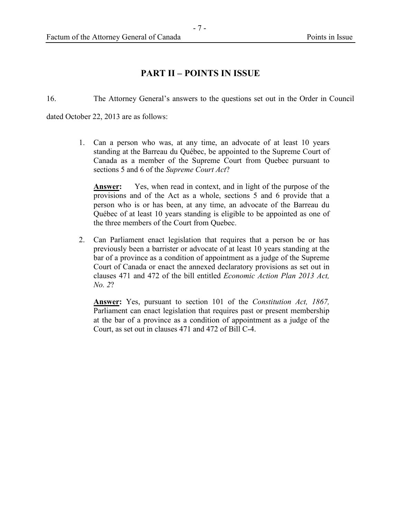# **PART II – POINTS IN ISSUE**

<span id="page-10-0"></span>16. The Attorney General's answers to the questions set out in the Order in Council

dated October 22, 2013 are as follows:

1. Can a person who was, at any time, an advocate of at least 10 years standing at the Barreau du Québec, be appointed to the Supreme Court of Canada as a member of the Supreme Court from Quebec pursuant to sections 5 and 6 of the *Supreme Court Act*?

**Answer:** Yes, when read in context, and in light of the purpose of the provisions and of the Act as a whole, sections 5 and 6 provide that a person who is or has been, at any time, an advocate of the Barreau du Québec of at least 10 years standing is eligible to be appointed as one of the three members of the Court from Quebec.

2. Can Parliament enact legislation that requires that a person be or has previously been a barrister or advocate of at least 10 years standing at the bar of a province as a condition of appointment as a judge of the Supreme Court of Canada or enact the annexed declaratory provisions as set out in clauses 471 and 472 of the bill entitled *Economic Action Plan 2013 Act, No. 2*?

**Answer:** Yes, pursuant to section 101 of the *Constitution Act, 1867,* Parliament can enact legislation that requires past or present membership at the bar of a province as a condition of appointment as a judge of the Court, as set out in clauses 471 and 472 of Bill C-4.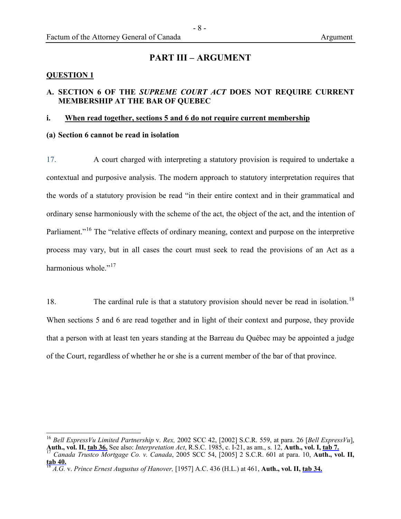# **PART III – ARGUMENT**

# <span id="page-11-5"></span><span id="page-11-2"></span><span id="page-11-1"></span><span id="page-11-0"></span>**QUESTION 1**

# **A. SECTION 6 OF THE** *SUPREME COURT ACT* **DOES NOT REQUIRE CURRENT MEMBERSHIP AT THE BAR OF QUEBEC**

#### <span id="page-11-4"></span><span id="page-11-3"></span>**i. When read together, sections 5 and 6 do not require current membership**

#### **(a) Section 6 cannot be read in isolation**

17. A court charged with interpreting a statutory provision is required to undertake a contextual and purposive analysis. The modern approach to statutory interpretation requires that the words of a statutory provision be read "in their entire context and in their grammatical and ordinary sense harmoniously with the scheme of the act, the object of the act, and the intention of Parliament."<sup>[16](#page-11-6)</sup> The "relative effects of ordinary meaning, context and purpose on the interpretive process may vary, but in all cases the court must seek to read the provisions of an Act as a harmonious whole."<sup>[17](#page-11-7)</sup>

[18](#page-11-8). The cardinal rule is that a statutory provision should never be read in isolation.<sup>18</sup> When sections 5 and 6 are read together and in light of their context and purpose, they provide that a person with at least ten years standing at the Barreau du Québec may be appointed a judge of the Court, regardless of whether he or she is a current member of the bar of that province.

<span id="page-11-6"></span> <sup>16</sup> *Bell ExpressVu Limited Partnership* v. *Rex,* 2002 SCC 42, [2002] S.C.R. 559, at para. 26 [*Bell ExpressVu*], Auth., vol. II, [tab 36.](#page-286-0) See also: *Interpretation Act*, R.S.C. 1985, c. I-21, as am., s. 12, Auth., vol. I[, tab 7.](#page-92-0)<br><sup>17</sup> Canada Trustco Mortgage Co. v. Canada, 2005 SCC 54, [2005] 2 S.C.R. 601 at para. 10, Auth., vol. II,

<span id="page-11-7"></span>**[tab](#page-305-0) 40.**

<span id="page-11-8"></span><sup>18</sup> *A.G.* v. *Prince Ernest Augustus of Hanover,* [1957] A.C. 436 (H.L.) at 461, **Auth., vol. I[I, tab 34.](#page-240-0)**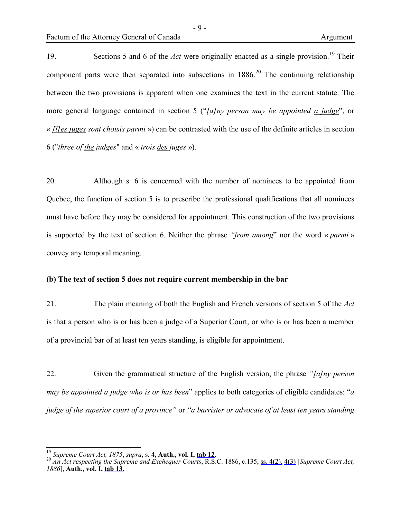19. Sections 5 and 6 of the *Act* were originally enacted as a single provision. [19](#page-12-1) Their component parts were then separated into subsections in  $1886$ .<sup>[20](#page-12-2)</sup> The continuing relationship between the two provisions is apparent when one examines the text in the current statute. The more general language contained in section 5 ("*[a]ny person may be appointed a judge*", or « *[l]es juges sont choisis parmi* ») can be contrasted with the use of the definite articles in section 6 ("*three of the judges*" and « *trois des juges* »).

20. Although s. 6 is concerned with the number of nominees to be appointed from Quebec, the function of section 5 is to prescribe the professional qualifications that all nominees must have before they may be considered for appointment. This construction of the two provisions is supported by the text of section 6. Neither the phrase *"from among*" nor the word « *parmi* » convey any temporal meaning.

# <span id="page-12-0"></span>**(b) The text of section 5 does not require current membership in the bar**

21. The plain meaning of both the English and French versions of section 5 of the *Act*  is that a person who is or has been a judge of a Superior Court, or who is or has been a member of a provincial bar of at least ten years standing, is eligible for appointment.

22. Given the grammatical structure of the English version, the phrase *"[a]ny person may be appointed a judge who is or has been*" applies to both categories of eligible candidates: "*a judge of the superior court of a province"* or *"a barrister or advocate of at least ten years standing* 

<span id="page-12-2"></span><span id="page-12-1"></span><sup>&</sup>lt;sup>19</sup> Supreme Court Act, 1875, supra, s. 4, **Auth., vol. I, <u>tab 12</u>**.<br><sup>20</sup> An Act respecting the Supreme and Exchequer Courts, R.S.C. 1886, c.135, <u>ss. 4(2), 4(3)</u> [Supreme Court Act, *1886*], **Auth., vol. I, [tab 13.](#page-198-0)**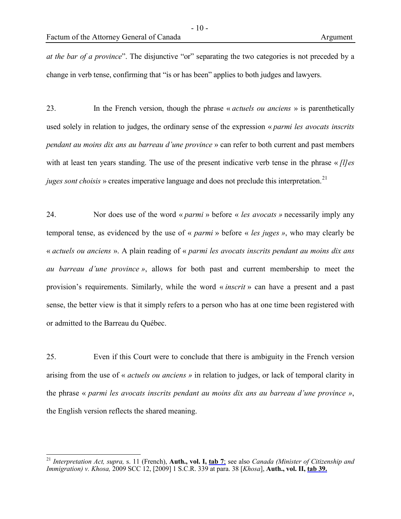<span id="page-13-1"></span>*at the bar of a province*". The disjunctive "or" separating the two categories is not preceded by a change in verb tense, confirming that "is or has been" applies to both judges and lawyers.

23. In the French version, though the phrase « *actuels ou anciens* » is parenthetically used solely in relation to judges, the ordinary sense of the expression « *parmi les avocats inscrits pendant au moins dix ans au barreau d'une province* » can refer to both current and past members with at least ten years standing. The use of the present indicative verb tense in the phrase « *[l]es juges sont choisis* » creates imperative language and does not preclude this interpretation.<sup>[21](#page-13-0)</sup>

24. Nor does use of the word « *parmi* » before « *les avocats »* necessarily imply any temporal tense, as evidenced by the use of « *parmi* » before « *les juges »*, who may clearly be « *actuels ou anciens* ». A plain reading of « *parmi les avocats inscrits pendant au moins dix ans au barreau d'une province »*, allows for both past and current membership to meet the provision's requirements. Similarly, while the word « *inscrit* » can have a present and a past sense, the better view is that it simply refers to a person who has at one time been registered with or admitted to the Barreau du Québec.

25. Even if this Court were to conclude that there is ambiguity in the French version arising from the use of « *actuels ou anciens »* in relation to judges, or lack of temporal clarity in the phrase « *parmi les avocats inscrits pendant au moins dix ans au barreau d'une province »*, the English version reflects the shared meaning.

<span id="page-13-0"></span> <sup>21</sup> *Interpretation Act, supra,* s. 11 (French), **Auth., vol. I, [tab 7](#page-92-0)**; see also *Canada (Minister of Citizenship and Immigration) v. Khosa,* 2009 SCC 12, [2009] 1 S.C.R. 339 at para. 38 [*Khosa*], **Auth., vol. II, [tab 39.](#page-301-0)**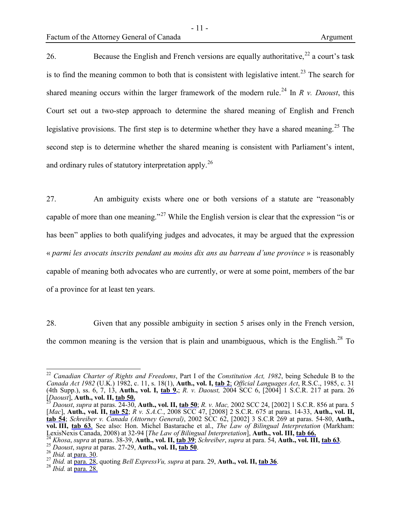<span id="page-14-7"></span>26. Because the English and French versions are equally authoritative,  $2^2$  a court's task is to find the meaning common to both that is consistent with legislative intent.<sup>[23](#page-14-1)</sup> The search for shared meaning occurs within the larger framework of the modern rule.<sup>[24](#page-14-2)</sup> In *R v. Daoust*, this Court set out a two-step approach to determine the shared meaning of English and French legislative provisions. The first step is to determine whether they have a shared meaning.<sup>[25](#page-14-3)</sup> The second step is to determine whether the shared meaning is consistent with Parliament's intent, and ordinary rules of statutory interpretation apply.<sup>[26](#page-14-4)</sup>

27. An ambiguity exists where one or both versions of a statute are "reasonably capable of more than one meaning."[27](#page-14-5) While the English version is clear that the expression "is or has been" applies to both qualifying judges and advocates, it may be argued that the expression « *parmi les avocats inscrits pendant au moins dix ans au barreau d'une province* » is reasonably capable of meaning both advocates who are currently, or were at some point, members of the bar of a province for at least ten years.

28. Given that any possible ambiguity in section 5 arises only in the French version, the common meaning is the version that is plain and unambiguous, which is the English.<sup>[28](#page-14-6)</sup> To

<span id="page-14-0"></span> <sup>22</sup> *Canadian Charter of Rights and Freedoms*, Part I of the *Constitution Act, 1982*, being Schedule B to the *Canada Act 1982* (U.K.) 1982, c. 11, s. 18(1), **Auth., vol. I, [tab 2](#page-17-0)**; *Official Languages Act*, R.S.C., 1985, c. 31 (4th Supp.), ss. 6, 7, 13, **Auth., vol. I[, tab 9.](#page-104-0)**; *R. v. Daoust,* 2004 SCC 6, [2004] 1 S.C.R. 217 at para. 26 [*Daoust*], **Auth., vol. II[, tab 50.](#page-385-0)** <sup>23</sup> *Daoust*, *supra* at paras. 24-30, **Auth., vol. II, [tab 50](#page-385-0)**; *R. v. Mac,* 2002 SCC 24, [2002] 1 S.C.R. 856 at para. 5

<span id="page-14-1"></span><sup>[</sup>*Mac*], **Auth., vol. II, [tab 52](#page-392-0)**; *R v. S.A.C.*, 2008 SCC 47, [2008] 2 S.C.R. 675 at paras. 14-33, **Auth., vol. II, [tab 54](#page-411-0)**; *Schreiber v. Canada (Attorney General)*, 2002 SCC 62, [2002] 3 S.C.R 269 at paras. 54-80, **Auth., vol. III, [tab 63](#page-69-0)**. See also: Hon. Michel Bastarache et al., *The Law of Bilingual Interpretation* (Markham: LexisNexis Canada, 2008) at 32-94 [The Law of Bilingual Interpretation], Auth., vol. III, [tab 66.](#page-112-0)<br><sup>24</sup> Khosa, supra at paras. 38-39, Auth., vol. I[I, tab 39](#page-301-0); Schreiber, supra at para. 54, Auth., vol. III, [tab](#page-69-0) 63.<br><sup>25</sup> Daou

<span id="page-14-2"></span>

<span id="page-14-3"></span>

<span id="page-14-6"></span><span id="page-14-5"></span><span id="page-14-4"></span><sup>27</sup> *Ibid.* [at para. 28, q](#page-387-0)uoting *Bell ExpressVu, supra* at para. 29, **Auth., vol. II, [tab 36](#page-287-0)**. <sup>28</sup> *Ibid.* at para. 28.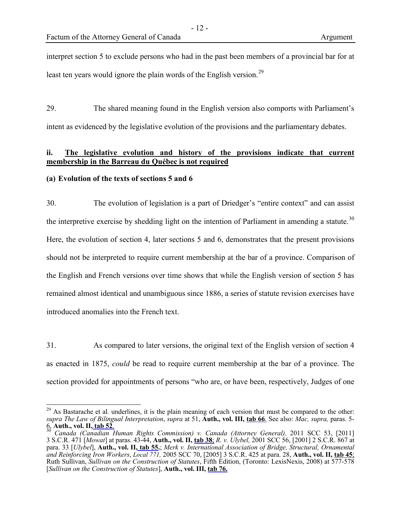<span id="page-15-4"></span>interpret section 5 to exclude persons who had in the past been members of a provincial bar for at least ten years would ignore the plain words of the English version.<sup>[29](#page-15-2)</sup>

29. The shared meaning found in the English version also comports with Parliament's intent as evidenced by the legislative evolution of the provisions and the parliamentary debates.

# <span id="page-15-0"></span>**ii. The legislative evolution and history of the provisions indicate that current membership in the Barreau du Québec is not required**

# <span id="page-15-1"></span>**(a) Evolution of the texts of sections 5 and 6**

30. The evolution of legislation is a part of Driedger's "entire context" and can assist the interpretive exercise by shedding light on the intention of Parliament in amending a statute.<sup>[30](#page-15-3)</sup> Here, the evolution of section 4, later sections 5 and 6, demonstrates that the present provisions should not be interpreted to require current membership at the bar of a province. Comparison of the English and French versions over time shows that while the English version of section 5 has remained almost identical and unambiguous since 1886, a series of statute revision exercises have introduced anomalies into the French text.

31. As compared to later versions, the original text of the English version of section 4 as enacted in 1875, *could* be read to require current membership at the bar of a province. The section provided for appointments of persons "who are, or have been, respectively, Judges of one

<span id="page-15-2"></span> $^{29}$  As Bastarache et al. underlines, it is the plain meaning of each version that must be compared to the other: *supra The Law of Bilingual Interpretation*, *supra* at 51, **Auth., vol. III[, tab 66](#page-116-0)**. See also: *Mac, supra,* paras. 5-

<span id="page-15-3"></span><sup>6,</sup> **Auth., vol. I[I, tab 52](#page-392-0)**. <sup>30</sup> *Canada (Canadian Human Rights Commission) v. Canada (Attorney General),* 2011 SCC 53, [2011] 3 S.C.R. 471 [*Mowat*] at paras. 43-44, **Auth., vol. [II, tab 38](#page-295-0)**; *R. v. Ulybel,* 2001 SCC 56, [2001] 2 S.C.R. 867 at para. 33 [*Ulybel*], **Auth., vol. II[, tab 55.](#page-423-0)**; *Merk v. International Association of Bridge, Structural, Ornamental and Reinforcing Iron Workers*, *Local 771,* 2005 SCC 70, [2005] 3 S.C.R. 425 at para. 28, **Auth., vol. I[I, tab 45](#page-358-0)**; Ruth Sullivan, *Sullivan on the Construction of Statutes*, Fifth Edition, (Toronto: LexisNexis, 2008) at 577-578 [*Sullivan on the Construction of Statutes*], **Auth., vol. III[, tab 76.](#page-312-0)**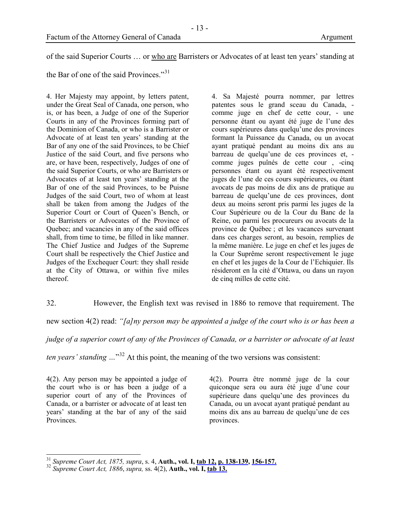<span id="page-16-2"></span>of the said Superior Courts … or who are Barristers or Advocates of at least ten years' standing at

the Bar of one of the said Provinces."<sup>[31](#page-16-0)</sup>

4. Her Majesty may appoint, by letters patent, under the Great Seal of Canada, one person, who is, or has been, a Judge of one of the Superior Courts in any of the Provinces forming part of the Dominion of Canada, or who is a Barrister or Advocate of at least ten years' standing at the Bar of any one of the said Provinces, to be Chief Justice of the said Court, and five persons who are, or have been, respectively, Judges of one of the said Superior Courts, or who are Barristers or Advocates of at least ten years' standing at the Bar of one of the said Provinces, to be Puisne Judges of the said Court, two of whom at least shall be taken from among the Judges of the Superior Court or Court of Queen's Bench, or the Barristers or Advocates of the Province of Quebec; and vacancies in any of the said offices shall, from time to time, be filled in like manner. The Chief Justice and Judges of the Supreme Court shall be respectively the Chief Justice and Judges of the Exchequer Court: they shall reside at the City of Ottawa, or within five miles thereof.

4. Sa Majesté pourra nommer, par lettres patentes sous le grand sceau du Canada, comme juge en chef de cette cour, - une personne étant ou ayant été juge de l'une des cours supérieures dans quelqu'une des provinces formant la Puissance du Canada, ou un avocat ayant pratiqué pendant au moins dix ans au barreau de quelqu'une de ces provinces et, comme juges puînés de cette cour , -cinq personnes étant ou ayant été respectivement juges de l'une de ces cours supérieures, ou étant avocats de pas moins de dix ans de pratique au barreau de quelqu'une de ces provinces, dont deux au moins seront pris parmi les juges de la Cour Supérieure ou de la Cour du Banc de la Reine, ou parmi les procureurs ou avocats de la province de Québec ; et les vacances survenant dans ces charges seront, au besoin, remplies de la même manière. Le juge en chef et les juges de la Cour Suprême seront respectivement le juge en chef et les juges de la Cour de l'Echiquier. Ils résideront en la cité d'Ottawa, ou dans un rayon de cinq milles de cette cité.

# 32. However, the English text was revised in 1886 to remove that requirement. The

new section 4(2) read: *"[a]ny person may be appointed a judge of the court who is or has been a* 

*judge of a superior court of any of the Provinces of Canada, or a barrister or advocate of at least* 

*ten years' standing* ...<sup>[32](#page-16-1)</sup> At this point, the meaning of the two versions was consistent:

4(2). Any person may be appointed a judge of the court who is or has been a judge of a superior court of any of the Provinces of Canada, or a barrister or advocate of at least ten years' standing at the bar of any of the said Provinces.

4(2). Pourra être nommé juge de la cour quiconque sera ou aura été juge d'une cour supérieure dans quelqu'une des provinces du Canada, ou un avocat ayant pratiqué pendant au moins dix ans au barreau de quelqu'une de ces provinces.

<span id="page-16-0"></span><sup>31</sup> *Supreme Court Act, 1875, supra*, s. 4, **Auth., vol. I[, tab 12, p. 138-139,](#page-159-0) [156-157.](#page-177-0)** <sup>32</sup> *Supreme Court Act, 1886*, *supra,* ss. 4(2), **Auth., vol. I[, tab 13.](#page-198-0)**

<span id="page-16-1"></span>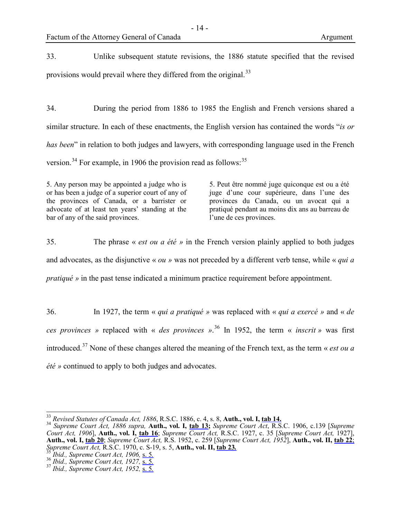<span id="page-17-0"></span>Factum of the Attorney General of Canada Argument

33. Unlike subsequent statute revisions, the 1886 statute specified that the revised provisions would prevail where they differed from the original.<sup>[33](#page-17-1)</sup>

34. During the period from 1886 to 1985 the English and French versions shared a similar structure. In each of these enactments, the English version has contained the words "*is or has been*" in relation to both judges and lawyers, with corresponding language used in the French version.<sup>[34](#page-17-2)</sup> For example, in 1906 the provision read as follows:<sup>[35](#page-17-3)</sup>

5. Any person may be appointed a judge who is or has been a judge of a superior court of any of the provinces of Canada, or a barrister or advocate of at least ten years' standing at the bar of any of the said provinces.

5. Peut être nommé juge quiconque est ou a été juge d'une cour supérieure, dans l'une des provinces du Canada, ou un avocat qui a pratiqué pendant au moins dix ans au barreau de l'une de ces provinces.

35. The phrase « *est ou a été »* in the French version plainly applied to both judges and advocates, as the disjunctive « *ou »* was not preceded by a different verb tense, while « *qui a pratiqué* » in the past tense indicated a minimum practice requirement before appointment.

36. In 1927, the term « *qui a pratiqué »* was replaced with « *qui a exercé »* and « *de ces provinces »* replaced with « *des provinces »*. [36](#page-17-4) In 1952, the term « *inscrit »* was first introduced. [37](#page-17-5) None of these changes altered the meaning of the French text, as the term « *est ou a été »* continued to apply to both judges and advocates.

<span id="page-17-2"></span><span id="page-17-1"></span>

<sup>&</sup>lt;sup>33</sup> Revised Statutes of Canada Act, 1886, R.S.C. 1886, c. 4, s. 8, Auth., vol. I, [tab 14.](#page-253-0)<br><sup>34</sup> Supreme Court Act, 1886 supra, Auth., vol. I[, tab 13;](#page-196-0) Supreme Court Act, R.S.C. 1906, c.139 [Supreme *Court Act, 1906*], **Auth., vol. I[, tab](#page-267-0) 16**; *Supreme Court Act,* R.S.C. 1927, c. 35 [*Supreme Court Act,* 1927], **Auth., vol. I, [tab 20](#page-337-0)**; *Supreme Court Act,* R.S. 1952, c. 259 [*Supreme Court Act, 1952*], **Auth., vol. II, [tab 22](#page-11-5)**; Supreme Court Act, R.S.C. 1970, c. S-19, s. 5, Auth., vol. II[, tab 23](#page-68-0).<br>
<sup>35</sup> Ibid., Supreme Court Act, 1906, <u>[s. 5](#page-13-1).</u><br>
<sup>36</sup> Ibid., Supreme Court Act, 1906, <u>s. 5.</u><br>
<sup>37</sup> Ibid.. Supreme Court Act, 1927, <u>s. 5.</u>

<span id="page-17-4"></span><span id="page-17-3"></span>

<span id="page-17-5"></span>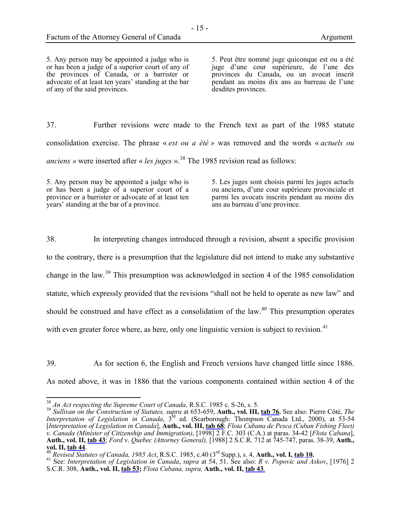<span id="page-18-4"></span>5. Any person may be appointed a judge who is or has been a judge of a superior court of any of the provinces of Canada, or a barrister or advocate of at least ten years' standing at the bar of any of the said provinces.

5. Peut être nommé juge quiconque est ou a été juge d'une cour supérieure, de l'une des provinces du Canada, ou un avocat inscrit pendant au moins dix ans au barreau de l'une desdites provinces.

37. Further revisions were made to the French text as part of the 1985 statute consolidation exercise. The phrase « *est ou a été »* was removed and the words « *actuels ou anciens »* were inserted after « *les juges* ». [38](#page-18-0) The 1985 revision read as follows:

5. Any person may be appointed a judge who is or has been a judge of a superior court of a province or a barrister or advocate of at least ten years' standing at the bar of a province.

5. Les juges sont choisis parmi les juges actuels ou anciens, d'une cour supérieure provinciale et parmi les avocats inscrits pendant au moins dix ans au barreau d'une province.

38. In interpreting changes introduced through a revision, absent a specific provision to the contrary, there is a presumption that the legislature did not intend to make any substantive change in the law.<sup>[39](#page-18-1)</sup> This presumption was acknowledged in section 4 of the 1985 consolidation statute, which expressly provided that the revisions "shall not be held to operate as new law" and should be construed and have effect as a consolidation of the law.<sup>[40](#page-18-2)</sup> This presumption operates with even greater force where, as here, only one linguistic version is subject to revision.<sup>[41](#page-18-3)</sup>

39. As for section 6, the English and French versions have changed little since 1886. As noted above, it was in 1886 that the various components contained within section 4 of the

<span id="page-18-1"></span>

<span id="page-18-0"></span><sup>&</sup>lt;sup>38</sup> An Act respecting the Supreme Court of Canada, R.S.C. 1985 c. S-26, s. 5.<br><sup>39</sup> Sullivan on the Construction of Statutes, supra at 653-659, A**uth., vol. III, <u>tab 76</u>.** See also: Pierre Côté, The *Interpretation of Legislation in Canada*, 3<sup>td</sup> ed. (Scarborough: Thompson Canada Ltd., 2000), at 53-54 [*Interpretation of Legislation in Canada*], **Auth., vol. III[, tab 68](#page-131-0)**; *Flota Cubana de Pesca (Cuban Fishing Fleet) v. Canada (Minister of Citizenship and Immigration)*, [1998] 2 F.C. 303 (C.A.) at paras. 34-42 [*Flota Cabana*], **Auth., vol. II, [tab 43](#page-337-0)**; *Ford* v. *Quebec (Attorney General),* [1988] 2 S.C.R. 712 at 745-747, paras. 38-39, **Auth.,**  vol. II, [tab 44](#page-353-0).<br>
<sup>40</sup> Revised Statutes of Canada, 1985 Act, R.S.C. 1985, c.40 (3<sup>rd</sup> Supp.), s. 4, Auth., vol. I, [tab 10.](#page-116-0)<br>
<sup>41</sup> See: Interpretation of Legislation in Canada, supra at 54, 51. See also: R v. Popovic and As

<span id="page-18-3"></span><span id="page-18-2"></span>S.C.R. 308, **Auth., vol. II, [tab](#page-394-0) 53;** *Flota Cubana, supra,* **Auth., vol. I[I, tab 43](#page-335-0)***.*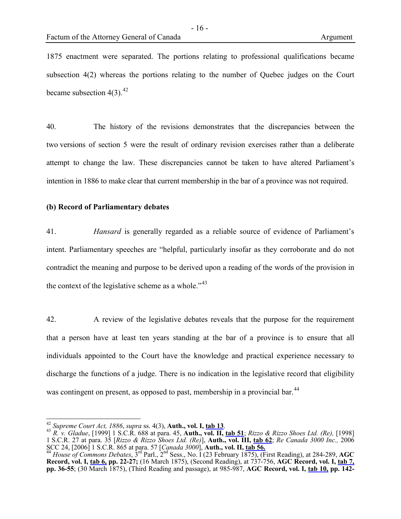1875 enactment were separated. The portions relating to professional qualifications became subsection 4(2) whereas the portions relating to the number of Quebec judges on the Court became subsection  $4(3)$ .<sup>[42](#page-19-1)</sup>

40. The history of the revisions demonstrates that the discrepancies between the two versions of section 5 were the result of ordinary revision exercises rather than a deliberate attempt to change the law. These discrepancies cannot be taken to have altered Parliament's intention in 1886 to make clear that current membership in the bar of a province was not required.

# <span id="page-19-0"></span>**(b) Record of Parliamentary debates**

41. *Hansard* is generally regarded as a reliable source of evidence of Parliament's intent. Parliamentary speeches are "helpful, particularly insofar as they corroborate and do not contradict the meaning and purpose to be derived upon a reading of the words of the provision in the context of the legislative scheme as a whole." $43$ 

42. A review of the legislative debates reveals that the purpose for the requirement that a person have at least ten years standing at the bar of a province is to ensure that all individuals appointed to the Court have the knowledge and practical experience necessary to discharge the functions of a judge. There is no indication in the legislative record that eligibility was contingent on present, as opposed to past, membership in a provincial bar.<sup>[44](#page-19-3)</sup>

<span id="page-19-2"></span><span id="page-19-1"></span>

<sup>&</sup>lt;sup>42</sup> Supreme Court Act, 1886, supra ss. 4(3), **Auth., vol. I, <u>tab 13</u>**.<br><sup>43</sup> R. v. Gladue, [1999] 1 S.C.R. 688 at para. 45, **Auth., vol. II, <u>tab 51</u>;** Rizzo & Rizzo Shoes Ltd. (Re), [1998] 1 S.C.R. 27 at para. 35 [*Rizzo & Rizzo Shoes Ltd. (Re)*], **Auth., vol. III, [tab 62](#page-65-0)**; *Re Canada 3000 Inc.,* 2006 SCC 24, [2006] 1 S.C.R. 865 at para. 57 [*Canada 3000*], **Auth., vol. II, <u>tab 56.</u>**<br><sup>44</sup> *House of Commons Debates*, 3<sup>rd</sup> Parl., 2<sup>nd</sup> Sess., No. I (23 February 1875), (First Reading), at 284-289, **AGC** 

<span id="page-19-3"></span>**Record, vol. I, [tab 6,](#page-47-0) pp. 22-27;** (16 March 1875), (Second Reading), at 737-756, **AGC Record, vol. I[, tab 7,](#page-62-0)  pp. 36-55**; (30 March 1875), (Third Reading and passage), at 985-987, **AGC Record, vol. I, [tab 10,](#page-171-0) pp. 142-**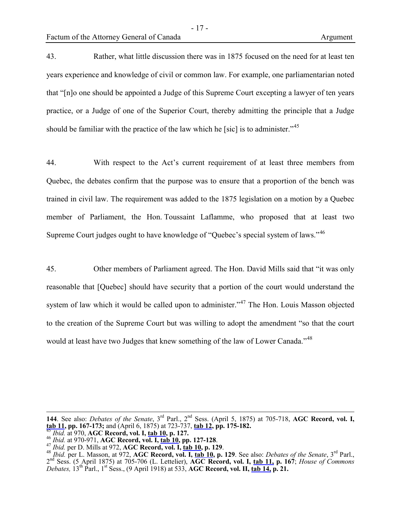<span id="page-20-4"></span>43. Rather, what little discussion there was in 1875 focused on the need for at least ten years experience and knowledge of civil or common law. For example, one parliamentarian noted that "[n]o one should be appointed a Judge of this Supreme Court excepting a lawyer of ten years practice, or a Judge of one of the Superior Court, thereby admitting the principle that a Judge should be familiar with the practice of the law which he [sic] is to administer."<sup>[45](#page-20-0)</sup>

44. With respect to the Act's current requirement of at least three members from Quebec, the debates confirm that the purpose was to ensure that a proportion of the bench was trained in civil law. The requirement was added to the 1875 legislation on a motion by a Quebec member of Parliament, the Hon. Toussaint Laflamme, who proposed that at least two Supreme Court judges ought to have knowledge of "Quebec's special system of laws."[46](#page-20-1)

45. Other members of Parliament agreed. The Hon. David Mills said that "it was only reasonable that [Quebec] should have security that a portion of the court would understand the system of law which it would be called upon to administer."<sup>[47](#page-20-2)</sup> The Hon. Louis Masson objected to the creation of the Supreme Court but was willing to adopt the amendment "so that the court would at least have two Judges that knew something of the law of Lower Canada."<sup>[48](#page-20-3)</sup>

 $\overline{a}$ 

**<sup>144</sup>**. See also: *Debates of the Senate*, 3rd Parl., 2nd Sess. (April 5, 1875) at 705-718, **AGC Record, vol. I, [tab](#page-197-0) 11, pp. 167-173;** and (April 6, 1875) at 723-737, **[tab 12, p](#page-206-0)p. 175-182.** 

<sup>45</sup> *Ibid.* at 970, **AGC Record, vol. I[, tab 10, p](#page-156-0). 127.**

<span id="page-20-3"></span><span id="page-20-2"></span>

<span id="page-20-1"></span><span id="page-20-0"></span><sup>&</sup>lt;sup>46</sup> *Ibid.* at 970-971, AGC Record, vol. I[, tab 10,](#page-156-0) pp. 127-128.<br><sup>47</sup> *Ibid.* per D. Mills at 972, AGC Record, vol. I, <u>tab 10</u>, p. 129.<br><sup>48</sup> *Ibid.* per L. Masson, at 972, AGC Record, vol. I, <u>tab 10</u>, p. 129. See also: <sup>48</sup> *Ibid.* per *D. Masson, at 972, AGC Record, vol. I, tab 10, p. 129. See also: Debates of the Senate, 3<sup>rd</sup> Parl.,*  $2<sup>nd</sup>$  *Sess. (5 April 1875) at 705-706 (L. Lettelier), AGC Record, vol. I, <u>tab 11,</u> p. 167; <i>House Debates,* 13th Parl., 1st Sess., (9 April 1918) at 533, **AGC Record, vol. II, [tab 14,](#page-42-0) p. 21.**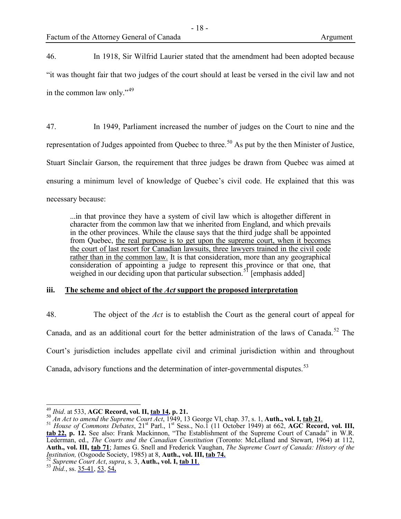46. In 1918, Sir Wilfrid Laurier stated that the amendment had been adopted because "it was thought fair that two judges of the court should at least be versed in the civil law and not in the common law only."<sup>[49](#page-21-1)</sup>

47. In 1949, Parliament increased the number of judges on the Court to nine and the representation of Judges appointed from Quebec to three.<sup>[50](#page-21-2)</sup> As put by the then Minister of Justice, Stuart Sinclair Garson, the requirement that three judges be drawn from Quebec was aimed at ensuring a minimum level of knowledge of Quebec's civil code. He explained that this was necessary because:

...in that province they have a system of civil law which is altogether different in character from the common law that we inherited from England, and which prevails in the other provinces. While the clause says that the third judge shall be appointed from Quebec, the real purpose is to get upon the supreme court, when it becomes the court of last resort for Canadian lawsuits, three lawyers trained in the civil code rather than in the common law. It is that consideration, more than any geographical consideration of appointing a judge to represent this province or that one, that weighed in our deciding upon that particular subsection.<sup>[51](#page-21-3)</sup> [emphasis added]

# <span id="page-21-0"></span>**iii. The scheme and object of the** *Act* **support the proposed interpretation**

48. The object of the *Act* is to establish the Court as the general court of appeal for Canada, and as an additional court for the better administration of the laws of Canada.<sup>[52](#page-21-4)</sup> The Court's jurisdiction includes appellate civil and criminal jurisdiction within and throughout Canada, advisory functions and the determination of inter-governmental disputes.<sup>[53](#page-21-5)</sup>

<span id="page-21-3"></span><span id="page-21-2"></span>

<span id="page-21-1"></span><sup>&</sup>lt;sup>49</sup> Ibid. at 533, AGC Record, vol. II, <u>tab 14</u>, p. 21.<br><sup>50</sup> An Act to amend the Supreme Court Act, 1949, 13 George VI, chap. 37, s. 1, Auth., vol. I, <u>tab 21.</u><br><sup>51</sup> House of Commons Debates, 21<sup>st</sup> Parl., 1<sup>st</sup> Sess., No **tab [22, p](#page-32-0). 12.** See also: Frank Mackinnon, "The Establishment of the Supreme Court of Canada" in W.R. Lederman, ed., *The Courts and the Canadian Constitution* (Toronto: McLelland and Stewart, 1964) at 112, **Auth., vol. III[, tab 71](#page-194-0)**; James G. Snell and Frederick Vaughan, *The Supreme Court of Canada: History of the Institution, (Osgoode Society, 1985) at 8, Auth., vol. III[, tab 74.](#page-241-0)*  $\frac{52}{52}$  *Supreme Court Act, supra*, s. 3, **Auth., vol. I, <u>tab 11.</u>**<br>*S1 Ibid.*, ss. [35-41,](#page-134-0) [53,](#page-140-0) [54](#page-141-0).

<span id="page-21-5"></span><span id="page-21-4"></span>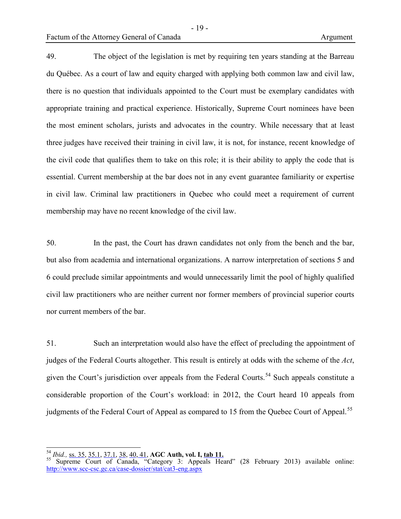<span id="page-22-2"></span>49. The object of the legislation is met by requiring ten years standing at the Barreau du Québec. As a court of law and equity charged with applying both common law and civil law, there is no question that individuals appointed to the Court must be exemplary candidates with appropriate training and practical experience. Historically, Supreme Court nominees have been the most eminent scholars, jurists and advocates in the country. While necessary that at least three judges have received their training in civil law, it is not, for instance, recent knowledge of the civil code that qualifies them to take on this role; it is their ability to apply the code that is essential. Current membership at the bar does not in any event guarantee familiarity or expertise in civil law. Criminal law practitioners in Quebec who could meet a requirement of current membership may have no recent knowledge of the civil law.

50. In the past, the Court has drawn candidates not only from the bench and the bar, but also from academia and international organizations. A narrow interpretation of sections 5 and 6 could preclude similar appointments and would unnecessarily limit the pool of highly qualified civil law practitioners who are neither current nor former members of provincial superior courts nor current members of the bar.

51. Such an interpretation would also have the effect of precluding the appointment of judges of the Federal Courts altogether. This result is entirely at odds with the scheme of the *Act*, given the Court's jurisdiction over appeals from the Federal Courts.<sup>[54](#page-22-0)</sup> Such appeals constitute a considerable proportion of the Court's workload: in 2012, the Court heard 10 appeals from judgments of the Federal Court of Appeal as compared to 15 from the Quebec Court of Appeal.<sup>[55](#page-22-1)</sup>

<span id="page-22-1"></span><span id="page-22-0"></span>

<sup>&</sup>lt;sup>54</sup> *Ibid.*, <u>[ss. 35, 35.1,](#page-134-0) [37.1, 38,](#page-135-0) 40, 41</u>, **AGC Auth, vol. I, <u>tab 11.</u>**<br><sup>55</sup> Supreme Court of Canada, "Category 3: Appeals Heard" (28 February 2013) available online: <http://www.scc-csc.gc.ca/case-dossier/stat/cat3-eng.aspx>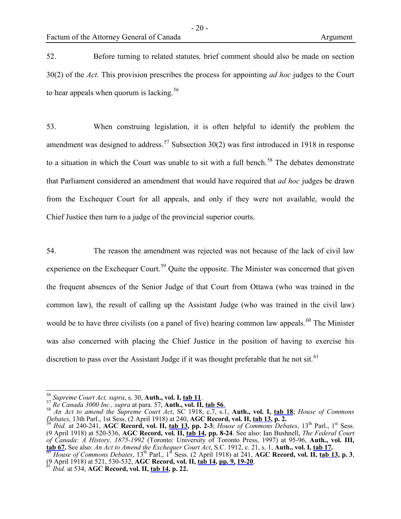52. Before turning to related statutes*,* brief comment should also be made on section 30(2) of the *Act*. This provision prescribes the process for appointing *ad hoc* judges to the Court to hear appeals when quorum is lacking. $56$ 

53. When construing legislation, it is often helpful to identify the problem the amendment was designed to address.<sup>[57](#page-23-1)</sup> Subsection 30(2) was first introduced in 1918 in response to a situation in which the Court was unable to sit with a full bench.<sup>[58](#page-23-2)</sup> The debates demonstrate that Parliament considered an amendment that would have required that *ad hoc* judges be drawn from the Exchequer Court for all appeals, and only if they were not available, would the Chief Justice then turn to a judge of the provincial superior courts.

54. The reason the amendment was rejected was not because of the lack of civil law experience on the Exchequer Court.<sup>[59](#page-23-3)</sup> Quite the opposite. The Minister was concerned that given the frequent absences of the Senior Judge of that Court from Ottawa (who was trained in the common law), the result of calling up the Assistant Judge (who was trained in the civil law) would be to have three civilists (on a panel of five) hearing common law appeals.<sup>[60](#page-23-4)</sup> The Minister was also concerned with placing the Chief Justice in the position of having to exercise his discretion to pass over the Assistant Judge if it was thought preferable that he not sit.<sup>[61](#page-23-5)</sup>

<span id="page-23-0"></span>

<span id="page-23-2"></span><span id="page-23-1"></span>

<sup>&</sup>lt;sup>56</sup> Supreme Court Act, supra, s. 30, A**uth., vol. I, <u>tab 11</u>**.<br><sup>57</sup> Re Canada 3000 Inc., supra at para. 57, Auth., vol. II, <u>tab 56.</u><br><sup>58</sup> An Act to amend the Supreme Court Act, SC 1918, c.7, s.1, Auth., vol. I, <u>tab 18</u> *Debates*, 13th Parl., 1st Sess. (2 April 1918) at 240, AGC Record, vol. II[, tab 13,](#page-22-2) p. 2.<br><sup>59</sup> Ibid. at 240-241, AGC Record, vol. II, [tab 13,](#page-22-2) pp. 2-3; *House of Commons Debates*, 13<sup>th</sup> Parl., 1<sup>st</sup> Sess.

<span id="page-23-3"></span><sup>(9</sup> April 1918) at 520-536, **AGC Record, vol. II[, tab 14,](#page-29-1) pp. 8-24**. See also: Ian Bushnell, *The Federal Court [of Cana](#page-123-0)da: A History, 1875-1992* (Toronto: University of Toronto Press, 1997) at 95-96, **Auth., vol. III, tab 67.** See also: An Act to Amend the Exchequer Court Act, S.C. 1912, c. 21, s. 1, Auth., vol. I[, tab 17.](#page-320-0)<br><sup>60</sup> House of Commons Debates, 13<sup>th</sup> Parl., 1<sup>st</sup> Sess. (2 April 1918) at 241, AGC Record, vol. II, tab 13, p. 3

<span id="page-23-4"></span><sup>(9</sup> April 1918) at 521, 530-532, **AGC Record, vol. II, tab 14, pp. 9, 19-20**[.](#page-40-1) 61 *Ibid.* at 534, **AGC Record, vol. II[, tab 14, p](#page-43-2). 22.**

<span id="page-23-5"></span>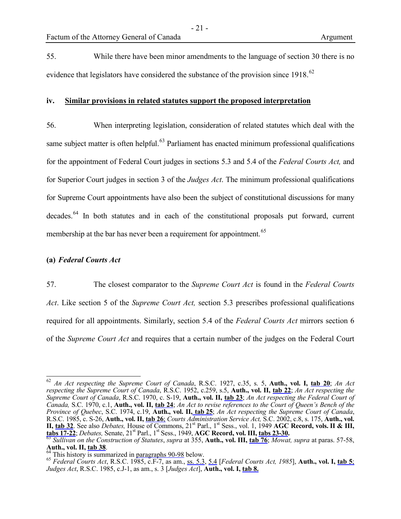<span id="page-24-2"></span>55. While there have been minor amendments to the language of section 30 there is no evidence that legislators have considered the substance of the provision since  $1918$ .<sup>[62](#page-24-3)</sup>

### <span id="page-24-0"></span>**iv. Similar provisions in related statutes support the proposed interpretation**

56. When interpreting legislation, consideration of related statutes which deal with the same subject matter is often helpful.<sup>[63](#page-24-4)</sup> Parliament has enacted minimum professional qualifications for the appointment of Federal Court judges in sections 5.3 and 5.4 of the *Federal Courts Act,* and for Superior Court judges in section 3 of the *Judges Act*. The minimum professional qualifications for Supreme Court appointments have also been the subject of constitutional discussions for many  $decades<sup>64</sup>$  $decades<sup>64</sup>$  $decades<sup>64</sup>$  In both statutes and in each of the constitutional proposals put forward, current membership at the bar has never been a requirement for appointment.<sup>[65](#page-24-6)</sup>

# <span id="page-24-1"></span>**(a)** *Federal Courts Act*

57. The closest comparator to the *Supreme Court Act* is found in the *Federal Courts Act*. Like section 5 of the *Supreme Court Act,* section 5.3 prescribes professional qualifications required for all appointments. Similarly, section 5.4 of the *Federal Courts Act* mirrors section 6 of the *Supreme Court Act* and requires that a certain number of the judges on the Federal Court

<span id="page-24-3"></span> <sup>62</sup> *An Act respecting the Supreme Court of Canada*, R.S.C. 1927, c.35, s. 5, **Auth., vol. I, [tab 20](#page-339-0)**; *An Act respecting the Supreme Court of Canada*, R.S.C. 1952, c.259, s.5, **Auth., vol. II, [tab 22](#page-13-1)**; *An Act respecting the Supreme Court of Canada*, R.S.C. 1970, c. S-19, **Auth., vol. II[, tab 23](#page-66-0)**; *An Act respecting the Federal Court of Canada,* S.C. 1970, c.1, **Auth., vol. II[, tab 24](#page-98-0)**; *An Act to revise references to the Court of Queen's Bench of the Province of Quebec*, S.C. 1974, c.19, **Auth., vol. II, [tab](#page-140-0) 25**; *An Act respecting the Supreme Court of Canada*, R.S.C. 1985, c. S-26, **Auth., vol. [II, tab 26](#page-147-0)**; *Courts Administration Service Act,* S.C. 2002, c.8, s. 175, **Auth., vol. II, [tab 32](#page-203-0)**. See also *Debates*, House of Commons, 21<sup>st</sup> Parl., 1<sup>st</sup> Sess., vol. 1, 1949 **AGC** Record, vols. II & III, **[tabs 17-22](#page-81-0)**; *Debates,* Senate, 21st Parl., 1st Sess., 1949, **AGC Record, vol. III[, tabs 23-30.](#page-74-0)** 

<span id="page-24-4"></span><sup>63</sup> *Sullivan on the Construction of Statutes*, *supra* at 355, **Auth., vol. III, [tab 76](#page-309-0)**; *Mowat, supra* at paras. 57-58,

<span id="page-24-5"></span>This history is summarized i[n paragraphs 90-98 b](#page-35-2)elow.

<span id="page-24-6"></span><sup>65</sup> *Federal Courts Act*, R.S.C. 1985, c.F-7, as am.[, ss. 5.3,](#page-60-0) [5.4 \[](#page-61-0)*Federal Courts Act, 1985*], **Auth., vol. I[, tab 5](#page-60-0)**; *Judges Act*, R.S.C. 1985, c.J-1, as am., s. 3 [*Judges Act*], **Auth., vol. I[, tab 8.](#page-101-0)**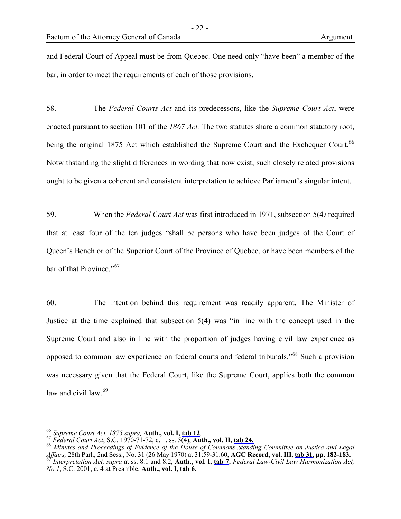<span id="page-25-4"></span>and Federal Court of Appeal must be from Quebec. One need only "have been" a member of the bar, in order to meet the requirements of each of those provisions.

58. The *Federal Courts Act* and its predecessors, like the *Supreme Court Act*, were enacted pursuant to section 101 of the *1867 Act.* The two statutes share a common statutory root, being the original 1875 Act which established the Supreme Court and the Exchequer Court.<sup>[66](#page-25-0)</sup> Notwithstanding the slight differences in wording that now exist, such closely related provisions ought to be given a coherent and consistent interpretation to achieve Parliament's singular intent.

59. When the *Federal Court Act* was first introduced in 1971, subsection 5(4*)* required that at least four of the ten judges "shall be persons who have been judges of the Court of Queen's Bench or of the Superior Court of the Province of Quebec, or have been members of the bar of that Province."<sup>[67](#page-25-1)</sup>

60. The intention behind this requirement was readily apparent. The Minister of Justice at the time explained that subsection 5(4) was "in line with the concept used in the Supreme Court and also in line with the proportion of judges having civil law experience as opposed to common law experience on federal courts and federal tribunals."[68](#page-25-2) Such a provision was necessary given that the Federal Court, like the Supreme Court, applies both the common law and civil law.<sup>[69](#page-25-3)</sup>

<span id="page-25-3"></span><span id="page-25-2"></span><span id="page-25-1"></span>

<span id="page-25-0"></span><sup>&</sup>lt;sup>66</sup> Supreme Court Act, 1875 supra, **Auth., vol. I, <u>tab 12</u>**.<br><sup>67</sup> Federal Court Act, S.C. 1970-71-72, c. 1, ss. 5(4), **Auth., vol. II, <u>tab 24.</u>**<br><sup>68</sup> Minutes and Proceedings of Evidence of the House of Commons Standing *Affairs, 28th Parl., 2nd Sess., No. 31 (26 May 1970) at 31:59-31:60, AGC Record, vol. II[I, tab 31, p](#page-211-0)p. 182-183.*<br><sup>69</sup> *Literary 4: 69 Literary 4: 69 Literary 4: 69 Literary 4: 69 Literary 4: 69 Literary 4: 69* <sup>69</sup> *Interpretation Act, supra* at ss. 8.1 and 8.2, **Auth., vol. I[, tab 7](#page-91-0)**; *Federal Law-Civil Law Harmonization Act, No.1*, S.C. 2001, c. 4 at Preamble, **Auth., vol. I[, tab 6.](#page-84-0)**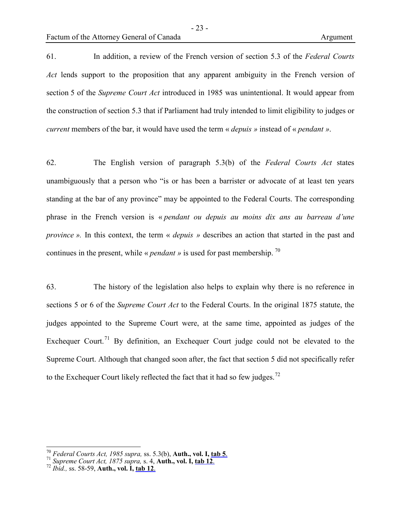61. In addition, a review of the French version of section 5.3 of the *Federal Courts Act* lends support to the proposition that any apparent ambiguity in the French version of section 5 of the *Supreme Court Act* introduced in 1985 was unintentional. It would appear from the construction of section 5.3 that if Parliament had truly intended to limit eligibility to judges or *current* members of the bar, it would have used the term « *depuis »* instead of « *pendant »*.

62. The English version of paragraph 5.3(b) of the *Federal Courts Act* states unambiguously that a person who "is or has been a barrister or advocate of at least ten years standing at the bar of any province" may be appointed to the Federal Courts. The corresponding phrase in the French version is « *pendant ou depuis au moins dix ans au barreau d'une province* ». In this context, the term « *depuis* » describes an action that started in the past and continues in the present, while « *pendant* » is used for past membership.<sup>[70](#page-26-0)</sup>

63. The history of the legislation also helps to explain why there is no reference in sections 5 or 6 of the *Supreme Court Act* to the Federal Courts. In the original 1875 statute, the judges appointed to the Supreme Court were, at the same time, appointed as judges of the Exchequer Court.<sup>[71](#page-26-1)</sup> By definition, an Exchequer Court judge could not be elevated to the Supreme Court. Although that changed soon after, the fact that section 5 did not specifically refer to the Exchequer Court likely reflected the fact that it had so few judges.<sup>[72](#page-26-2)</sup>

<span id="page-26-1"></span><span id="page-26-0"></span><sup>&</sup>lt;sup>70</sup> Federal Courts Act, 1985 supra, ss. 5.3(b), **Auth., vol. I, <u>tab 5.</u>**<br><sup>71</sup> Supreme Court Act, 1875 supra, s. 4, **Auth., vol. I, <u>tab 12.</u>**<br><sup>72</sup> Ibid., ss. 58-59, **Auth., vol. I, <u>tab 12.</u>** 

<span id="page-26-2"></span>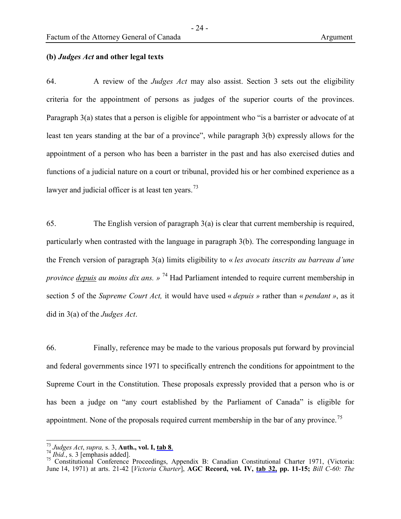# <span id="page-27-0"></span>**(b)** *Judges Act* **and other legal texts**

64. A review of the *Judges Act* may also assist. Section 3 sets out the eligibility criteria for the appointment of persons as judges of the superior courts of the provinces. Paragraph 3(a) states that a person is eligible for appointment who "is a barrister or advocate of at least ten years standing at the bar of a province", while paragraph 3(b) expressly allows for the appointment of a person who has been a barrister in the past and has also exercised duties and functions of a judicial nature on a court or tribunal, provided his or her combined experience as a lawyer and judicial officer is at least ten years.<sup>[73](#page-27-1)</sup>

65. The English version of paragraph  $3(a)$  is clear that current membership is required, particularly when contrasted with the language in paragraph 3(b). The corresponding language in the French version of paragraph 3(a) limits eligibility to « *les avocats inscrits au barreau d'une province depuis au moins dix ans. »* [74](#page-27-2) Had Parliament intended to require current membership in section 5 of the *Supreme Court Act,* it would have used « *depuis »* rather than « *pendant »*, as it did in 3(a) of the *Judges Act*.

66. Finally, reference may be made to the various proposals put forward by provincial and federal governments since 1971 to specifically entrench the conditions for appointment to the Supreme Court in the Constitution. These proposals expressly provided that a person who is or has been a judge on "any court established by the Parliament of Canada" is eligible for appointment. None of the proposals required current membership in the bar of any province.<sup>[75](#page-27-3)</sup>

<span id="page-27-3"></span><span id="page-27-2"></span>

<span id="page-27-1"></span><sup>&</sup>lt;sup>73</sup> *Judges Act*, *supra*, *s.* 3, **Auth., vol. I, <u>tab 8.</u>**<br><sup>74</sup> *Ibid.*, *s.* 3 [emphasis added].<br><sup>75</sup> Constitutional Conference Proceedings, Appendix B: Canadian Constitutional Charter 1971, (Victoria: June 14, 1971) at arts. 21-42 [*Victoria Charter*], **AGC Record, vol. IV[, tab 32,](#page-31-1) pp. 11-15;** *Bill C-60: The*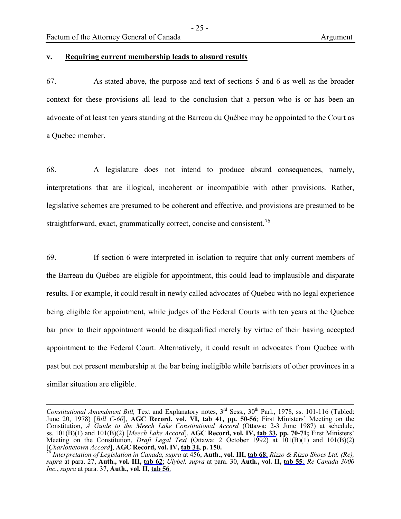$\overline{a}$ 

# <span id="page-28-0"></span>**v. Requiring current membership leads to absurd results**

67. As stated above, the purpose and text of sections 5 and 6 as well as the broader context for these provisions all lead to the conclusion that a person who is or has been an advocate of at least ten years standing at the Barreau du Québec may be appointed to the Court as a Quebec member.

68. A legislature does not intend to produce absurd consequences, namely, interpretations that are illogical, incoherent or incompatible with other provisions. Rather, legislative schemes are presumed to be coherent and effective, and provisions are presumed to be straightforward, exact, grammatically correct, concise and consistent.<sup>[76](#page-28-1)</sup>

69. If section 6 were interpreted in isolation to require that only current members of the Barreau du Québec are eligible for appointment, this could lead to implausible and disparate results. For example, it could result in newly called advocates of Quebec with no legal experience being eligible for appointment, while judges of the Federal Courts with ten years at the Quebec bar prior to their appointment would be disqualified merely by virtue of their having accepted appointment to the Federal Court. Alternatively, it could result in advocates from Quebec with past but not present membership at the bar being ineligible while barristers of other provinces in a similar situation are eligible.

*Constitutional Amendment Bill,* Text and Explanatory notes, 3<sup>rd</sup> Sess., 30<sup>th</sup> Parl., 1978, ss. 101-116 (Tabled: June 20, 1978) [*Bill C-60*], **AGC Record, vol. VI, [tab 41,](#page-70-0) pp. 50-56**; First Ministers' Meeting on the Constitution, *A Guide to the Meech Lake Constitutional Accord* (Ottawa: 2-3 June 1987) at schedule, ss. 101(B)(1) and 101(B)(2) [*Meech Lake Accord*], **AGC Record, vol. I[V, tab 33,](#page-91-0) pp. 70-71;** First Ministers' Meeting on the Constitution, *Draft Legal Text* (Ottawa: 2 October 1992) at 101(B)(1) and 101(B)(2) [Charlottetown Accord], AGC Record, vol. I[V, tab 34, p.](#page-172-0) 150.<br><sup>76</sup> Interpretation of Legislation in Canada, supra at 456, Auth., vol. III[, tab 68](#page-135-0); Rizzo & Rizzo Shoes Ltd. (Re),

<span id="page-28-1"></span>*supra* at para. 27, **Auth., vol. III[, tab 62](#page-63-0)**; *Ulybel, supra* at para. 30, **Auth., vol. II, [tab 55](#page-421-0)***; Re Canada 3000 Inc.*, *supra* at para. 37, **Auth., vol. I[I, tab 56](#page-426-0)**.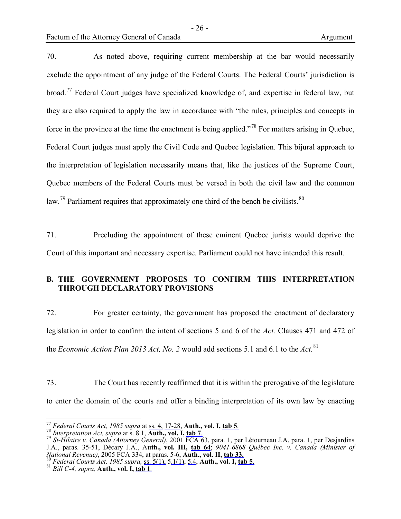<span id="page-29-1"></span>70. As noted above, requiring current membership at the bar would necessarily exclude the appointment of any judge of the Federal Courts. The Federal Courts' jurisdiction is broad.<sup>[77](#page-29-2)</sup> Federal Court judges have specialized knowledge of, and expertise in federal law, but they are also required to apply the law in accordance with "the rules, principles and concepts in force in the province at the time the enactment is being applied."[78](#page-29-3) For matters arising in Quebec, Federal Court judges must apply the Civil Code and Quebec legislation. This bijural approach to the interpretation of legislation necessarily means that, like the justices of the Supreme Court, Quebec members of the Federal Courts must be versed in both the civil law and the common law.<sup>[79](#page-29-4)</sup> Parliament requires that approximately one third of the bench be civilists.<sup>[80](#page-29-5)</sup>

71. Precluding the appointment of these eminent Quebec jurists would deprive the Court of this important and necessary expertise. Parliament could not have intended this result.

# <span id="page-29-0"></span>**B. THE GOVERNMENT PROPOSES TO CONFIRM THIS INTERPRETATION THROUGH DECLARATORY PROVISIONS**

72. For greater certainty, the government has proposed the enactment of declaratory legislation in order to confirm the intent of sections 5 and 6 of the *Act.* Clauses 471 and 472 of the *Economic Action Plan 2013 Act, No. 2* would add sections 5.1 and 6.1 to the *Act.* [81](#page-29-6)

73. The Court has recently reaffirmed that it is within the prerogative of the legislature to enter the domain of the courts and offer a binding interpretation of its own law by enacting

<span id="page-29-4"></span><span id="page-29-3"></span>

<span id="page-29-2"></span><sup>&</sup>lt;sup>77</sup> Federal Courts Act, 1985 supra at <u>ss. 4, 17-28</u>, **Auth., vol. I, <u>tab 5.</u>**<br><sup>78</sup> Interpretation Act, supra at s. 8.1, **Auth., vol. I, <u>tab 7.</u>**<br><sup>79</sup> St-Hilaire v. Canada (Attorney General), 2001 FCA 63, para. 1, per J.A., paras. 35-51, Décary J.A., A**uth., vol. III, [tab 64](#page-98-0)**; *9041-6868 Québec Inc. v. Canada (Minister of* 

<span id="page-29-5"></span>National Revenue), 2005 FCA 334, at paras[.](#page-59-0) 5-6, **Auth., vol. II, <u>tab 33.</u>**<br><sup>80</sup> Federal Courts Act, 1985 supra, <u>ss. 5(1),</u> 5<u>.1(1), 5.4</u>, **Auth., vol. I, <u>tab 5.</u>**<br><sup>81</sup> Bill C-4, supra, **Auth., vol. I, <u>tab 1.</u>** 

<span id="page-29-6"></span>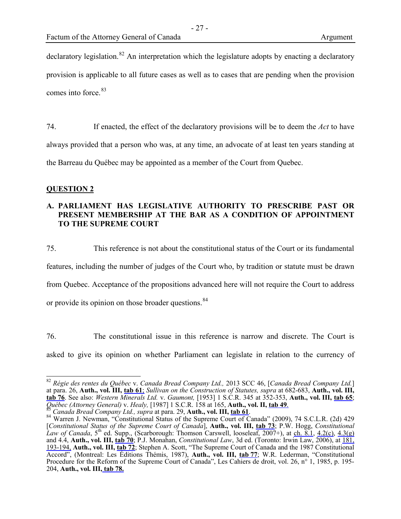# <span id="page-30-2"></span>Factum of the Attorney General of Canada Argument

declaratory legislation.<sup>[82](#page-30-3)</sup> An interpretation which the legislature adopts by enacting a declaratory provision is applicable to all future cases as well as to cases that are pending when the provision comes into force.<sup>[83](#page-30-4)</sup>

74. If enacted, the effect of the declaratory provisions will be to deem the *Act* to have always provided that a person who was, at any time, an advocate of at least ten years standing at the Barreau du Québec may be appointed as a member of the Court from Quebec.

# <span id="page-30-0"></span>**QUESTION 2**

# <span id="page-30-1"></span>**A. PARLIAMENT HAS LEGISLATIVE AUTHORITY TO PRESCRIBE PAST OR PRESENT MEMBERSHIP AT THE BAR AS A CONDITION OF APPOINTMENT TO THE SUPREME COURT**

75. This reference is not about the constitutional status of the Court or its fundamental features, including the number of judges of the Court who, by tradition or statute must be drawn from Quebec. Acceptance of the propositions advanced here will not require the Court to address or provide its opinion on those broader questions.<sup>[84](#page-30-5)</sup>

76. The constitutional issue in this reference is narrow and discrete. The Court is asked to give its opinion on whether Parliament can legislate in relation to the currency of

<span id="page-30-3"></span> <sup>82</sup> *Régie des rentes du Québec* v. *Canada Bread Company Ltd.,* 2013 SCC 46, [*Canada Bread Company Ltd.*] at para. 26, **Auth., vol. III[, tab 61](#page-59-0)**; *Sullivan on the Construction of Statutes, supra* at 682-683, **Auth., vol. III, [tab](#page-325-0) 76**. See also: *Western Minerals Ltd.* v. *Gaumont,* [1953] 1 S.C.R. 345 at 352-353, **Auth., vol. III, [tab 65](#page-109-0)**; *Québec (Attorney General) v. Healy,* [1987] 1 S.C.R. 158 at 165, **Auth., vol. II, <u>tab 49.</u>**<br><sup>83</sup> Canada Bread Company Ltd., supra at para. 29, **Auth., vol. III, <u>tab 61</u>**.<br><sup>84</sup> Warren J. Newman, "Constitutional Status of

<span id="page-30-4"></span>

<span id="page-30-5"></span><sup>[</sup>*Constitutional Status of the Supreme Court of Canada*], **Auth., vol. III, [tab 73](#page-218-0)**; P.W. Hogg, *Constitutional Law of Canada*, 5th ed. Supp., (Scarborough: Thomson Carswell, looseleaf, 2007+), [at ch. 8.1,](#page-177-0) [4.2\(c\),](#page-180-0) [4.3\(g\)](#page-182-0)  and 4.4, **Auth., vol. III, [tab 70](#page-177-0)**; P.J. Monahan, *Constitutional Law*, 3d ed. (Toronto: Irwin Law, 2006), a[t 181,](#page-211-0)  [193-194,](#page-214-0) **Auth., vol. III[, tab 72](#page-211-0)**; Stephen A. Scott, "The Supreme Court of Canada and the 1987 Constitutional Accord", (Montreal: Les Éditions Thémis, 1987), **Auth., vol. II[I, tab](#page-329-0) 77**; W.R. Lederman, "Constitutional Procedure for the Reform of the Supreme Court of Canada", Les Cahiers de droit, vol. 26, n° 1, 1985, p. 195-204, **Auth., vol. III[, tab 78.](#page-348-0)**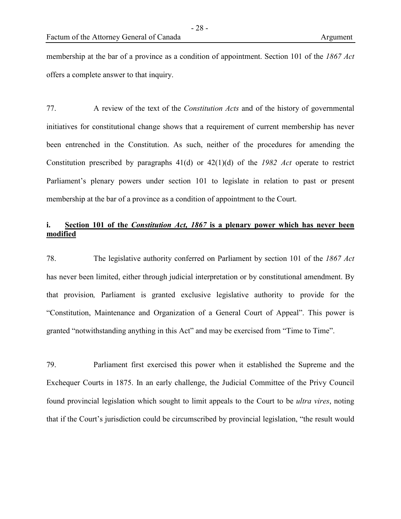<span id="page-31-1"></span>membership at the bar of a province as a condition of appointment. Section 101 of the *1867 Act* offers a complete answer to that inquiry.

77. A review of the text of the *Constitution Acts* and of the history of governmental initiatives for constitutional change shows that a requirement of current membership has never been entrenched in the Constitution. As such, neither of the procedures for amending the Constitution prescribed by paragraphs 41(d) or 42(1)(d) of the *1982 Act* operate to restrict Parliament's plenary powers under section 101 to legislate in relation to past or present membership at the bar of a province as a condition of appointment to the Court.

# <span id="page-31-0"></span>**i. Section 101 of the** *Constitution Act, 1867* **is a plenary power which has never been modified**

78. The legislative authority conferred on Parliament by section 101 of the *1867 Act* has never been limited, either through judicial interpretation or by constitutional amendment. By that provision*,* Parliament is granted exclusive legislative authority to provide for the "Constitution, Maintenance and Organization of a General Court of Appeal". This power is granted "notwithstanding anything in this Act" and may be exercised from "Time to Time".

79. Parliament first exercised this power when it established the Supreme and the Exchequer Courts in 1875. In an early challenge, the Judicial Committee of the Privy Council found provincial legislation which sought to limit appeals to the Court to be *ultra vires*, noting that if the Court's jurisdiction could be circumscribed by provincial legislation, "the result would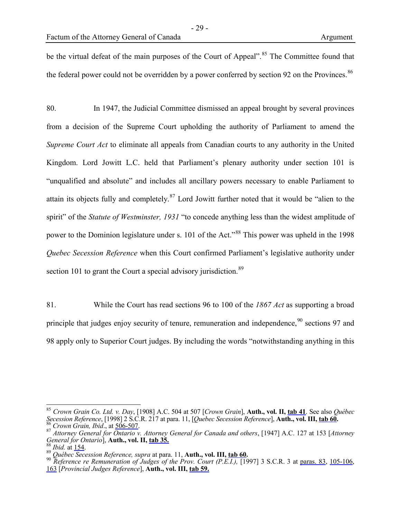<span id="page-32-0"></span>be the virtual defeat of the main purposes of the Court of Appeal".<sup>[85](#page-32-1)</sup> The Committee found that the federal power could not be overridden by a power conferred by section 92 on the Provinces.<sup>[86](#page-32-2)</sup>

80. In 1947, the Judicial Committee dismissed an appeal brought by several provinces from a decision of the Supreme Court upholding the authority of Parliament to amend the *Supreme Court Act* to eliminate all appeals from Canadian courts to any authority in the United Kingdom. Lord Jowitt L.C. held that Parliament's plenary authority under section 101 is "unqualified and absolute" and includes all ancillary powers necessary to enable Parliament to attain its objects fully and completely.<sup>[87](#page-32-3)</sup> Lord Jowitt further noted that it would be "alien to the spirit" of the *Statute of Westminster, 1931* "to concede anything less than the widest amplitude of power to the Dominion legislature under s. 101 of the Act."<sup>[88](#page-32-4)</sup> This power was upheld in the 1998 *Quebec Secession Reference* when this Court confirmed Parliament's legislative authority under section 101 to grant the Court a special advisory jurisdiction.<sup>[89](#page-32-5)</sup>

81. While the Court has read sections 96 to 100 of the *1867 Act* as supporting a broad principle that judges enjoy security of tenure, remuneration and independence,<sup>[90](#page-32-6)</sup> sections 97 and 98 apply only to Superior Court judges. By including the words "notwithstanding anything in this

<span id="page-32-1"></span> <sup>85</sup> *Crown Grain Co. Ltd. v. Day*, [1908] A.C. 504 at 507 [*Crown Grain*], **Auth., vol. II[, tab 41](#page-310-0)**. See also *Québec Secession Reference*, [1998] 2 S.C.R. 217 at para. 11, [*Quebec Secession Reference*], **Auth., vol. II[I, tab 60.](#page-47-0)** <sup>86</sup> *Crown Grain, Ibid*., a[t 506-507.](#page-309-0) 

<span id="page-32-3"></span><span id="page-32-2"></span><sup>87</sup> *Attorney General for Ontario v. Attorney General for Canada and others*, [1947] A.C. 127 at 153 [*Attorney General for Ontario*], **Auth., vol. II, <u>tab 35.</u>**<br>
<sup>88</sup> *Ibid.* at <u>154</u>.<br> *So Québec Secession Reference, supra* at para. 11, **Auth., vol. III, <u>tab 60</u>.** 

<span id="page-32-4"></span>

<span id="page-32-6"></span><span id="page-32-5"></span><sup>89</sup> *Québec Secession Reference, supra* at para. 11, **Auth., vol. II[I, tab 60.](#page-47-0)** <sup>90</sup> *Reference re Remuneration of Judges of the Prov. Court (P.E.I.),* [1997] 3 S.C.R. 3 a[t paras. 83,](#page-31-1) [105-106,](#page-39-1)  163 [*Provincial Judges Reference*], **Auth., vol. II[I, tab 59.](#page-31-1)**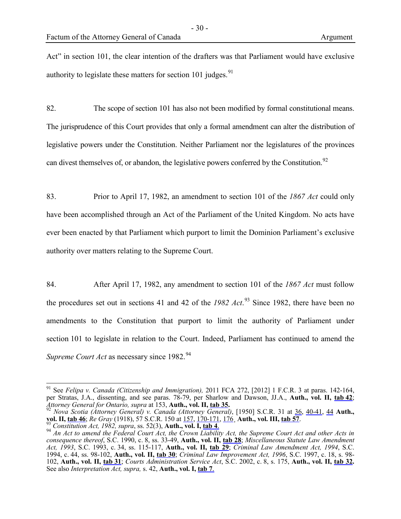Act" in section 101, the clear intention of the drafters was that Parliament would have exclusive authority to legislate these matters for section 101 judges.  $91$ 

82. The scope of section 101 has also not been modified by formal constitutional means. The jurisprudence of this Court provides that only a formal amendment can alter the distribution of legislative powers under the Constitution. Neither Parliament nor the legislatures of the provinces can divest themselves of, or abandon, the legislative powers conferred by the Constitution.<sup>[92](#page-33-1)</sup>

83. Prior to April 17, 1982, an amendment to section 101 of the *1867 Act* could only have been accomplished through an Act of the Parliament of the United Kingdom. No acts have ever been enacted by that Parliament which purport to limit the Dominion Parliament's exclusive authority over matters relating to the Supreme Court.

84. After April 17, 1982, any amendment to section 101 of the *1867 Act* must follow the procedures set out in sections 41 and 42 of the *1982 Act*. [93](#page-33-2) Since 1982, there have been no amendments to the Constitution that purport to limit the authority of Parliament under section 101 to legislate in relation to the Court. Indeed, Parliament has continued to amend the *Supreme Court Act* as necessary since 1982.<sup>[94](#page-33-3)</sup>

<span id="page-33-0"></span> <sup>91</sup> See *Felipa v. Canada (Citizenship and Immigration),* <sup>2011</sup> FCA 272, [2012] 1 F.C.R. 3 at paras. 142-164, per Stratas, J.A., dissenting, and see paras. 78-79, per Sharlow and Dawson, JJ.A., **Auth., vol. II, [tab](#page-315-0) 42**; *Attorney General for Ontario, supra* at 153, **Auth., vol. II, <u>tab 35</u>.** *Nova Scotia (Attorney General) v. Canada (Attorney General)*, [1950] S.C.R. 31 at <u>36, [40-41,](#page-366-0) 44</u> **Auth.,**  $\frac{92}{\pi}$  *Nova Scotia (Attorney Gener* 

<span id="page-33-1"></span>Nova Scota (*Habries* General) v. Candala (*Habries* General), [1990] S.C.R. 31 at  $\frac{1}{20}$ ,  $\frac{1}{20}$ ,  $\frac{1}{11}$  Auth., <br> **yol. II, <u>tab 46</u>**; Re Gray (1918), 57 S.C.R. 150 at <u>157, [170-171,](#page-15-4) 176</u>, **Auth., vol. III, <u>**</u>

<span id="page-33-3"></span><span id="page-33-2"></span>*consequence thereof*, S.C. 1990, c. 8, ss. 33-49, **Auth., vol. I[I, tab 28](#page-183-0)**; *Miscellaneous Statute Law Amendment Act, 1993*, S.C. 1993, c. 34, ss. 115-117, **Auth., vol. II, [tab](#page-190-0) 29**; *Criminal Law Amendment Act, 1994*, S.C. 1994, c. 44, ss. 98-102, **Auth., vol. II[, tab 30](#page-194-0)**; *Criminal Law Improvement Act, 1996*, S.C. 1997, c. 18, s. 98- 102, **Auth., vol. I[I, tab](#page-197-0) 31**; *Courts Administration Service Act*, S.C. 2002, c. 8, s. 175, **Auth., vol. II[, tab 32.](#page-203-0)** See also *Interpretation Act, supra,* s. 42, **Auth., vol. I[, tab 7](#page-96-0)**.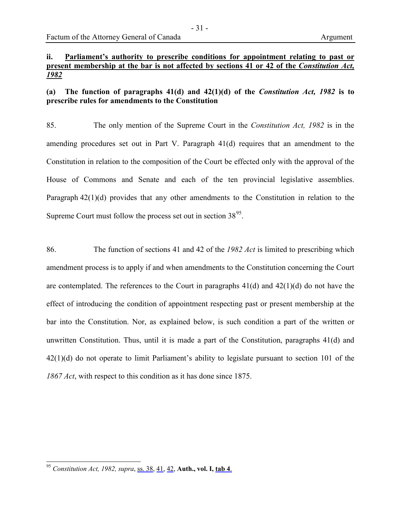# <span id="page-34-0"></span>**ii. Parliament's authority to prescribe conditions for appointment relating to past or present membership at the bar is not affected by sections 41 or 42 of the** *Constitution Act, 1982*

# <span id="page-34-1"></span>**(a) The function of paragraphs 41(d) and 42(1)(d) of the** *Constitution Act, 1982* **is to prescribe rules for amendments to the Constitution**

85. The only mention of the Supreme Court in the *Constitution Act, 1982* is in the amending procedures set out in Part V. Paragraph 41(d) requires that an amendment to the Constitution in relation to the composition of the Court be effected only with the approval of the House of Commons and Senate and each of the ten provincial legislative assemblies. Paragraph 42(1)(d) provides that any other amendments to the Constitution in relation to the Supreme Court must follow the process set out in section  $38^{95}$  $38^{95}$  $38^{95}$ .

86. The function of sections 41 and 42 of the *1982 Act* is limited to prescribing which amendment process is to apply if and when amendments to the Constitution concerning the Court are contemplated. The references to the Court in paragraphs  $41(d)$  and  $42(1)(d)$  do not have the effect of introducing the condition of appointment respecting past or present membership at the bar into the Constitution. Nor, as explained below, is such condition a part of the written or unwritten Constitution. Thus, until it is made a part of the Constitution, paragraphs 41(d) and 42(1)(d) do not operate to limit Parliament's ability to legislate pursuant to section 101 of the *1867 Act*, with respect to this condition as it has done since 1875.

<span id="page-34-2"></span> <sup>95</sup> *Constitution Act, 1982, supra*[, ss. 38,](#page-36-1) [41, 42,](#page-37-1) **Auth., vol. I, [tab 4](#page-36-1)**.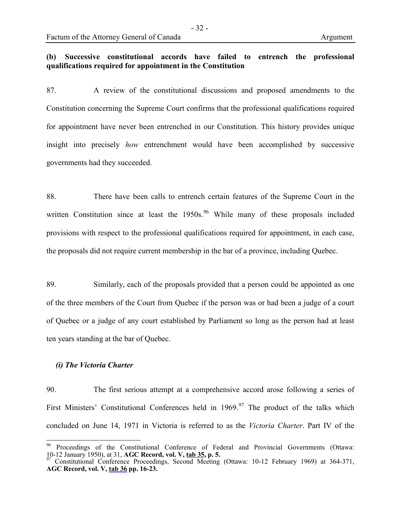# <span id="page-35-2"></span><span id="page-35-0"></span>**(b) Successive constitutional accords have failed to entrench the professional qualifications required for appointment in the Constitution**

87. A review of the constitutional discussions and proposed amendments to the Constitution concerning the Supreme Court confirms that the professional qualifications required for appointment have never been entrenched in our Constitution. This history provides unique insight into precisely *how* entrenchment would have been accomplished by successive governments had they succeeded.

88. There have been calls to entrench certain features of the Supreme Court in the written Constitution since at least the  $1950s^{96}$  $1950s^{96}$  $1950s^{96}$  While many of these proposals included provisions with respect to the professional qualifications required for appointment, in each case, the proposals did not require current membership in the bar of a province, including Quebec.

89. Similarly, each of the proposals provided that a person could be appointed as one of the three members of the Court from Quebec if the person was or had been a judge of a court of Quebec or a judge of any court established by Parliament so long as the person had at least ten years standing at the bar of Quebec.

# <span id="page-35-1"></span>*(i) The Victoria Charter*

90. The first serious attempt at a comprehensive accord arose following a series of First Ministers' Constitutional Conferences held in  $1969$ .<sup>[97](#page-35-4)</sup> The product of the talks which concluded on June 14, 1971 in Victoria is referred to as the *Victoria Charter*. Part IV of the

<span id="page-35-3"></span><sup>&</sup>lt;sup>96</sup> Proceedings of the Constitutional Conference of Federal and Provincial Governments (Ottawa: 10-12 January 1950), at 31, AGC Record, vol. V, tab 35, p. 5.

<span id="page-35-4"></span>Constitutional Conference Proceedings, Second Meeting (Ottawa: 10-12 February 1969) at 364-371, **AGC Record, vol. V, [tab 36](#page-37-1) pp. 16-23.**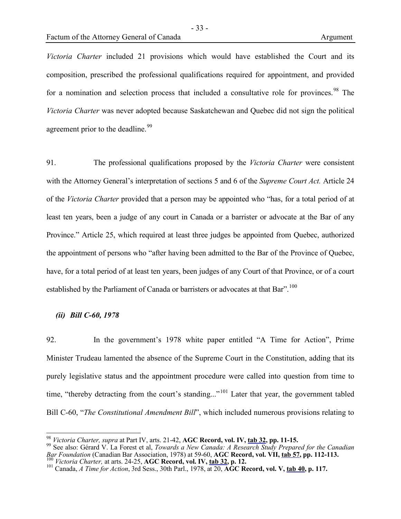<span id="page-36-1"></span>*Victoria Charter* included 21 provisions which would have established the Court and its composition, prescribed the professional qualifications required for appointment, and provided for a nomination and selection process that included a consultative role for provinces.<sup>[98](#page-36-2)</sup> The *Victoria Charter* was never adopted because Saskatchewan and Quebec did not sign the political agreement prior to the deadline.<sup>[99](#page-36-3)</sup>

91. The professional qualifications proposed by the *Victoria Charter* were consistent with the Attorney General's interpretation of sections 5 and 6 of the *Supreme Court Act.* Article 24 of the *Victoria Charter* provided that a person may be appointed who "has, for a total period of at least ten years, been a judge of any court in Canada or a barrister or advocate at the Bar of any Province." Article 25, which required at least three judges be appointed from Quebec, authorized the appointment of persons who "after having been admitted to the Bar of the Province of Quebec, have, for a total period of at least ten years, been judges of any Court of that Province, or of a court established by the Parliament of Canada or barristers or advocates at that Bar".<sup>[100](#page-36-4)</sup>

# <span id="page-36-0"></span>*(ii) Bill C-60, 1978*

92. In the government's 1978 white paper entitled "A Time for Action", Prime Minister Trudeau lamented the absence of the Supreme Court in the Constitution, adding that its purely legislative status and the appointment procedure were called into question from time to time, "thereby detracting from the court's standing..."<sup>[101](#page-36-5)</sup> Later that year, the government tabled Bill C-60, "*The Constitutional Amendment Bill*", which included numerous provisions relating to

 <sup>98</sup> *Victoria Charter, supra* at Part IV, arts. 21-42, **AGC Record, vol. IV, [tab 32, p](#page-31-1)p. 11-15.**

<span id="page-36-3"></span><span id="page-36-2"></span><sup>99</sup> See also: Gérard V. La Forest et al, *Towards a New Canada: A Research Study Prepared for the Canadian Bar Foundation* (Canadian Bar Association, 1978) at 59-60, **AGC Record, vol. VII, [tab 57, p](#page-144-0)p. 112-113.**

<span id="page-36-5"></span>

<span id="page-36-4"></span><sup>&</sup>lt;sup>100</sup> Victoria Charter, at arts. 24-25, AGC Record, vol. IV,  $\underline{\textbf{tab 32}}$ , p. 12.<br><sup>101</sup> Canada. *A Time for Action*, 3rd Sess., 30th Parl., 1978, at 20, AGC Record, vol. V,  $\underline{\textbf{tab 40}}$ , p. 117.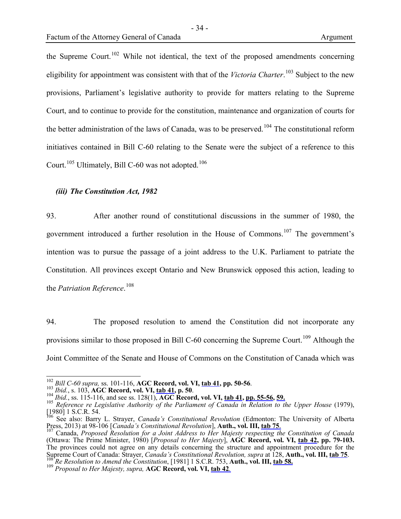<span id="page-37-1"></span>the Supreme Court.<sup>[102](#page-37-2)</sup> While not identical, the text of the proposed amendments concerning eligibility for appointment was consistent with that of the *Victoria Charter*. [103](#page-37-3) Subject to the new provisions, Parliament's legislative authority to provide for matters relating to the Supreme Court, and to continue to provide for the constitution, maintenance and organization of courts for the better administration of the laws of Canada, was to be preserved.<sup>[104](#page-37-4)</sup> The constitutional reform initiatives contained in Bill C-60 relating to the Senate were the subject of a reference to this Court.<sup>[105](#page-37-5)</sup> Ultimately, Bill C-60 was not adopted.<sup>[106](#page-37-6)</sup>

# <span id="page-37-0"></span>*(iii) The Constitution Act, 1982*

93. After another round of constitutional discussions in the summer of 1980, the government introduced a further resolution in the House of Commons.[107](#page-37-7) The government's intention was to pursue the passage of a joint address to the U.K. Parliament to patriate the Constitution. All provinces except Ontario and New Brunswick opposed this action, leading to the *Patriation Reference*. [108](#page-37-8)

94. The proposed resolution to amend the Constitution did not incorporate any provisions similar to those proposed in Bill C-60 concerning the Supreme Court.<sup>[109](#page-37-9)</sup> Although the Joint Committee of the Senate and House of Commons on the Constitution of Canada which was

<span id="page-37-4"></span><span id="page-37-3"></span>

<span id="page-37-5"></span>

<span id="page-37-2"></span><sup>&</sup>lt;sup>102</sup> Bill C-60 supra, ss. 101-116, AGC Record, vol. VI, <u>tab 41</u>, pp. 50-56.<br><sup>103</sup> Ibid., s. 103, AGC Record, vol. VI, <u>tab 41</u>, p. 50.<br><sup>104</sup> Ibid., ss. 115-116, and see ss. 128(1), AGC Record, vol. VI, <u>tab 41, pp. 55-5</u> [1980] 1 S.C.R. 54.

<sup>106</sup> See also: Barry L. Strayer, *Canada's Constitutional Revolution* (Edmonton: The University of Alberta

<span id="page-37-7"></span><span id="page-37-6"></span>Press, 2013) at 98-106 [*Canada's Constitutional Revolution*], **Auth., vol. III, <u>tab 75.</u>**<br><sup>107</sup> Canada, *Proposed Resolution for a Joint Address to Her Majesty respecting the Constitution of Canada* (Ottawa: The Prime Minister, 1980) [*Proposal to Her Majesty*], **AGC Record, vol. V[I, tab 42, p](#page-100-0)p. 79-103.** The provinces could not agree on any details concerning the structure and appointment procedure for the Supreme Court of Canada: Strayer, *Canada's Constitutional Revolution*, *supra* at 128, **Auth., vol. III, <u>tab 75</u>**.  $\frac{108}{108}$  Re Resolution to Amend the Constitution, [1981] 1 S.C.R. 753, Auth., vol. III[, tab 58.](#page-18-4)<br>
<sup>109</sup> Proposal to Her Majesty, supra, AGC Record, vol. V[I, tab 42](#page-100-0).

<span id="page-37-9"></span><span id="page-37-8"></span>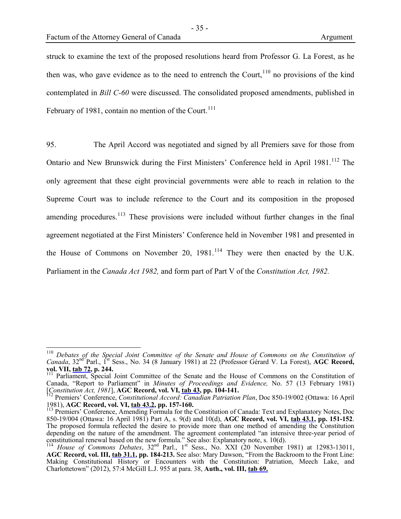struck to examine the text of the proposed resolutions heard from Professor G. La Forest, as he then was, who gave evidence as to the need to entrench the Court,  $110$  no provisions of the kind contemplated in *Bill C-60* were discussed. The consolidated proposed amendments, published in February of 1981, contain no mention of the Court.<sup>[111](#page-38-1)</sup>

95. The April Accord was negotiated and signed by all Premiers save for those from Ontario and New Brunswick during the First Ministers' Conference held in April 1981.<sup>[112](#page-38-2)</sup> The only agreement that these eight provincial governments were able to reach in relation to the Supreme Court was to include reference to the Court and its composition in the proposed amending procedures.<sup>[113](#page-38-3)</sup> These provisions were included without further changes in the final agreement negotiated at the First Ministers' Conference held in November 1981 and presented in the House of Commons on November 20,  $1981$ .<sup>[114](#page-38-4)</sup> They were then enacted by the U.K. Parliament in the *Canada Act 1982,* and form part of Part V of the *Constitution Act, 1982.*

<span id="page-38-0"></span> <sup>110</sup> *Debates of the Special Joint Committee of the Senate and House of Commons on the Constitution of*  Canada, 32<sup>nd P</sup>arl., 1<sup>st</sup> Sess., No. 34 (8 January 1981) at 22 (Professor Gérard V. La Forest), **AGC Record, vol.** VII, [tab 72, p](#page-291-0). 244.<br><sup>111</sup> Parliament, Special Joint Committee of the Senate and the House of Commons on the Constitution of

<span id="page-38-1"></span>Canada, "Report to Parliament" in *Minutes of Proceedings and Evidence,* No. 57 (13 February 1981) [*Constitution Act, 1981*], **AGC Record, vol. VI[, tab 43, p](#page-126-0)p. 104-141.**

<span id="page-38-2"></span><sup>112</sup> Premiers' Conference, *Constitutional Accord: Canadian Patriation Plan*, Doc 850-19/002 (Ottawa: 16 April 1981), **AGC Record, vol. VI[, tab 43.2, p](#page-181-0)p. 157-160.**

<span id="page-38-3"></span><sup>&</sup>lt;sup>113</sup> Premiers' Conference, Amending Formula for the Constitution of Canada: Text and Explanatory Notes, Doc 850-19/004 (Ottawa: 16 April 1981) Part A, s. 9(d) and 10(d), **AGC Record, vol. VI, tab [43.1,](#page-174-0) pp. 151-152**. The proposed formula reflected the desire to provide more than one method of amending the Constitution depending on the nature of the amendment. The agreement contemplated "an intensive three-year period of constitutional renewal based on the new formula." See also: Explanatory note, s. 10(d).

<span id="page-38-4"></span><sup>&</sup>lt;sup>114</sup> *House of Commons Debates*, 32<sup>nd</sup> Parl., 1<sup>st</sup> Sess., No. XXI (20 November 1981) at 12983-13011, **AGC Record, vol. III[, tab 31.1,](#page-214-0) pp. 184-213.** See also: Mary Dawson, "From the Backroom to the Front Line: Making Constitutional History or Encounters with the Constitution: Patriation, Meech Lake, and Charlottetown" (2012), 57:4 McGill L.J. 955 at para. 38, **Auth., vol. III[, tab 69.](#page-144-0)**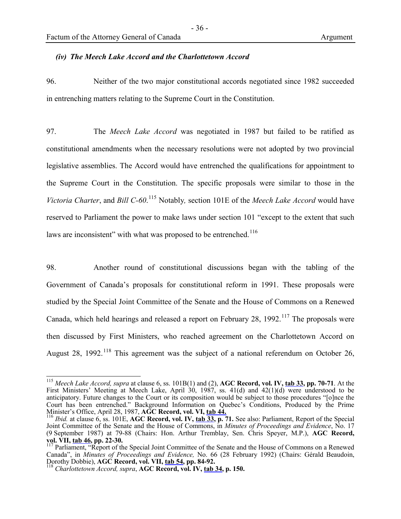# <span id="page-39-1"></span><span id="page-39-0"></span>*(iv) The Meech Lake Accord and the Charlottetown Accord*

96. Neither of the two major constitutional accords negotiated since 1982 succeeded in entrenching matters relating to the Supreme Court in the Constitution.

97. The *Meech Lake Accord* was negotiated in 1987 but failed to be ratified as constitutional amendments when the necessary resolutions were not adopted by two provincial legislative assemblies. The Accord would have entrenched the qualifications for appointment to the Supreme Court in the Constitution. The specific proposals were similar to those in the Victoria Charter, and Bill C-60.<sup>[115](#page-39-2)</sup> Notably, section 101E of the *Meech Lake Accord* would have reserved to Parliament the power to make laws under section 101 "except to the extent that such laws are inconsistent" with what was proposed to be entrenched.<sup>[116](#page-39-3)</sup>

98. Another round of constitutional discussions began with the tabling of the Government of Canada's proposals for constitutional reform in 1991. These proposals were studied by the Special Joint Committee of the Senate and the House of Commons on a Renewed Canada, which held hearings and released a report on February 28,  $1992$ .<sup>[117](#page-39-4)</sup> The proposals were then discussed by First Ministers, who reached agreement on the Charlottetown Accord on August 28, 1992.<sup>[118](#page-39-5)</sup> This agreement was the subject of a national referendum on October 26,

<span id="page-39-2"></span> <sup>115</sup> *Meech Lake Accord, supra* at clause 6, ss. 101B(1) and (2), **AGC Record, vol. IV, [tab 33,](#page-91-0) pp. 70-71**. At the First Ministers' Meeting at Meech Lake, April  $30$ ,  $1987$ , ss.  $41(d)$  and  $42(1)(d)$  were understood to be anticipatory. Future changes to the Court or its composition would be subject to those procedures "[o]nce the Court has been entrenched." Background Information on Quebec's Conditions, Produced by the Prime

<span id="page-39-3"></span>Minister's Office, April 28, 1987, **AGC Record, vol. VI, <u>tab 44.</u>**<br><sup>116</sup> *Ibid.* at clause 6, ss. 101E, **AGC Record, vol. IV, <u>tab 33</u>, p. 71.** See also: Parliament, Report of the Special Joint Committee of the Senate and the House of Commons, in *Minutes of Proceedings and Evidence*, No. 17 (9 September 1987) at 79-88 (Chairs: Hon. Arthur Tremblay, Sen. Chris Speyer, M.P.), **AGC Record, vol. VII[, tab 46, p](#page-43-2)p. 22-30.**

<span id="page-39-4"></span><sup>1111117, &</sup>lt;u>1181112</u>, procession Parliament, "Report of the Special Joint Committee of the Senate and the House of Commons on a Renewed Canada", in *Minutes of Proceedings and Evidence,* No. 66 (28 February 1992) (Chairs: Gérald Beaudoin, Dorothy Dobbie), **AGC Record, vol. VII[, tab 54,](#page-113-0) pp. 84-92.**

<span id="page-39-5"></span><sup>118</sup> *Charlottetown Accord, supra*, **AGC Record, vol. I[V, tab 34, p](#page-172-0). 150.**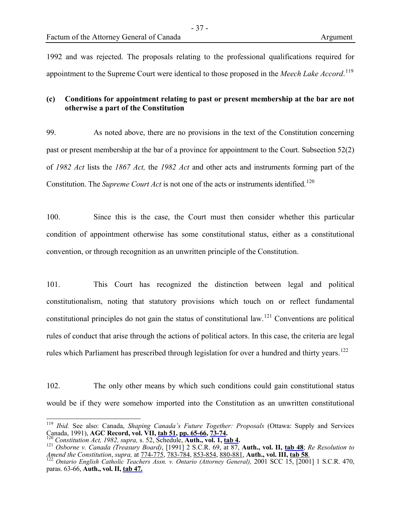<span id="page-40-1"></span>1992 and was rejected. The proposals relating to the professional qualifications required for appointment to the Supreme Court were identical to those proposed in the *Meech Lake Accord*. [119](#page-40-2)

# <span id="page-40-0"></span>**(c) Conditions for appointment relating to past or present membership at the bar are not otherwise a part of the Constitution**

99. As noted above, there are no provisions in the text of the Constitution concerning past or present membership at the bar of a province for appointment to the Court. Subsection 52(2) of *1982 Act* lists the *1867 Act,* the *1982 Act* and other acts and instruments forming part of the Constitution. The *Supreme Court Act* is not one of the acts or instruments identified.<sup>[120](#page-40-3)</sup>

100. Since this is the case, the Court must then consider whether this particular condition of appointment otherwise has some constitutional status, either as a constitutional convention, or through recognition as an unwritten principle of the Constitution.

101. This Court has recognized the distinction between legal and political constitutionalism, noting that statutory provisions which touch on or reflect fundamental constitutional principles do not gain the status of constitutional law. [121](#page-40-4) Conventions are political rules of conduct that arise through the actions of political actors. In this case, the criteria are legal rules which Parliament has prescribed through legislation for over a hundred and thirty years.<sup>[122](#page-40-5)</sup>

102. The only other means by which such conditions could gain constitutional status would be if they were somehow imported into the Constitution as an unwritten constitutional

<span id="page-40-2"></span> <sup>119</sup> *Ibid.* See also: Canada, *Shaping Canada's Future Together: Proposals* (Ottawa: Supply and Services Canada, 1991), **AGC Record, vol. VII[, tab 51, pp. 65-66,](#page-91-0) [73-74.](#page-99-0)**

<span id="page-40-4"></span><span id="page-40-3"></span>

 $\frac{120}{121}$  Constitution Act, 1982, supra, s. 52, Schedule, Auth., vol. 1, [tab 4.](#page-39-1)<br> $\frac{121}{121}$  Osborne v. Canada (Treasury Board), [1991] 2 S.C.R. 69, at 87, Auth., vol. II[, tab 48](#page-380-0); Re Resolution to Amend the Constitution, supra, at <u>774-775, [783-784,](#page-20-4) [853-854,](#page-22-2) 880-881</u>, Auth., vol. III, [tab 58](#page-18-4).<br><sup>122</sup> Ontario English Catholic Teachers Assn. v. Ontario (Attorney General), 2001 SCC 15, [2001] 1 S.C.R. 470,

<span id="page-40-5"></span>paras. 63-66, **Auth., vol. II[, tab](#page-374-0) 47.**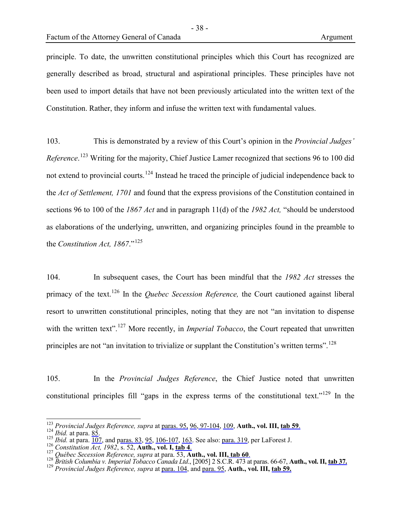#### Factum of the Attorney General of Canada Argument

principle. To date, the unwritten constitutional principles which this Court has recognized are generally described as broad, structural and aspirational principles. These principles have not been used to import details that have not been previously articulated into the written text of the Constitution. Rather, they inform and infuse the written text with fundamental values.

103. This is demonstrated by a review of this Court's opinion in the *Provincial Judges' Reference*. [123](#page-41-0) Writing for the majority, Chief Justice Lamer recognized that sections 96 to 100 did not extend to provincial courts.<sup>[124](#page-41-1)</sup> Instead he traced the principle of judicial independence back to the *Act of Settlement, 1701* and found that the express provisions of the Constitution contained in sections 96 to 100 of the *1867 Act* and in paragraph 11(d) of the *1982 Act,* "should be understood as elaborations of the underlying, unwritten, and organizing principles found in the preamble to the *Constitution Act, 1867*."[125](#page-41-2)

104. In subsequent cases, the Court has been mindful that the *1982 Act* stresses the primacy of the text.<sup>[126](#page-41-3)</sup> In the *Quebec Secession Reference*, the Court cautioned against liberal resort to unwritten constitutional principles, noting that they are not "an invitation to dispense with the written text".<sup>[127](#page-41-4)</sup> More recently, in *Imperial Tobacco*, the Court repeated that unwritten principles are not "an invitation to trivialize or supplant the Constitution's written terms".  $^{128}$  $^{128}$  $^{128}$ 

105. In the *Provincial Judges Reference*, the Chief Justice noted that unwritten constitutional principles fill "gaps in the express terms of the constitutional text."[129](#page-41-6) In the

<span id="page-41-1"></span>

<span id="page-41-2"></span>

<span id="page-41-3"></span>

<span id="page-41-4"></span>

<span id="page-41-0"></span><sup>&</sup>lt;sup>123</sup> Provincial Judges Reference, supra at <u>[paras. 95, 96,](#page-37-1) 97-104, 109</u>, **Auth., vol. III, <u>tab 59.</u>**<br><sup>124</sup> Ibid. at para. <u>85</u>.<br><sup>125</sup> Ibid. at para. <u>107</u>, and p<u>aras. 83, [95,](#page-37-1) [106-107,](#page-40-1) 163</u>. See also: <u>para. 319</u>, per L

<span id="page-41-6"></span><span id="page-41-5"></span><sup>129</sup> *Provincial Judges Reference, supra* at [para. 104,](#page-39-1) and [para. 95,](#page-37-1) **Auth., vol. II[I, tab 59.](#page-39-1)**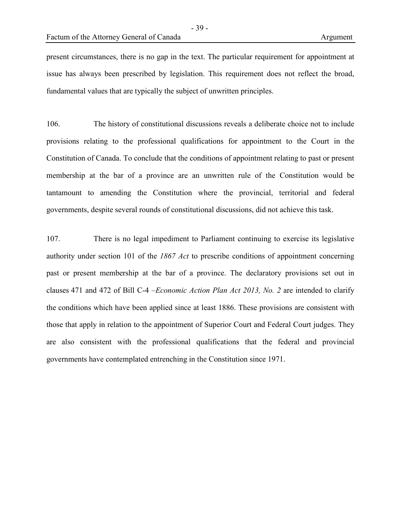#### <span id="page-42-0"></span>Factum of the Attorney General of Canada Argument Argument

present circumstances, there is no gap in the text. The particular requirement for appointment at issue has always been prescribed by legislation. This requirement does not reflect the broad, fundamental values that are typically the subject of unwritten principles.

106. The history of constitutional discussions reveals a deliberate choice not to include provisions relating to the professional qualifications for appointment to the Court in the Constitution of Canada. To conclude that the conditions of appointment relating to past or present membership at the bar of a province are an unwritten rule of the Constitution would be tantamount to amending the Constitution where the provincial, territorial and federal governments, despite several rounds of constitutional discussions, did not achieve this task.

107. There is no legal impediment to Parliament continuing to exercise its legislative authority under section 101 of the *1867 Act* to prescribe conditions of appointment concerning past or present membership at the bar of a province. The declaratory provisions set out in clauses 471 and 472 of Bill C-4 –*Economic Action Plan Act 2013, No. 2* are intended to clarify the conditions which have been applied since at least 1886. These provisions are consistent with those that apply in relation to the appointment of Superior Court and Federal Court judges. They are also consistent with the professional qualifications that the federal and provincial governments have contemplated entrenching in the Constitution since 1971.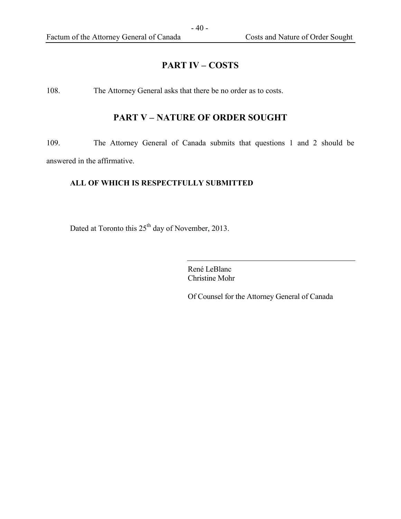# **PART IV – COSTS**

<span id="page-43-2"></span><span id="page-43-1"></span><span id="page-43-0"></span>108. The Attorney General asks that there be no order as to costs.

# **PART V – NATURE OF ORDER SOUGHT**

109. The Attorney General of Canada submits that questions 1 and 2 should be answered in the affirmative.

# **ALL OF WHICH IS RESPECTFULLY SUBMITTED**

Dated at Toronto this 25<sup>th</sup> day of November, 2013.

René LeBlanc Christine Mohr

Of Counsel for the Attorney General of Canada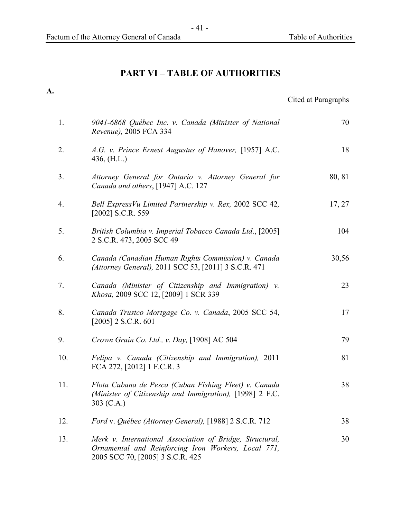# **PART VI – TABLE OF AUTHORITIES**

# <span id="page-44-1"></span><span id="page-44-0"></span>**A.**

# Cited at Paragraphs

| 1.  | 9041-6868 Québec Inc. v. Canada (Minister of National<br>Revenue), 2005 FCA 334                                                                     | 70     |
|-----|-----------------------------------------------------------------------------------------------------------------------------------------------------|--------|
| 2.  | A.G. v. Prince Ernest Augustus of Hanover, [1957] A.C.<br>436, (H.L.)                                                                               | 18     |
| 3.  | Attorney General for Ontario v. Attorney General for<br>Canada and others, [1947] A.C. 127                                                          | 80, 81 |
| 4.  | Bell Express Vu Limited Partnership v. Rex, 2002 SCC 42,<br>$[2002]$ S.C.R. 559                                                                     | 17, 27 |
| 5.  | British Columbia v. Imperial Tobacco Canada Ltd., [2005]<br>2 S.C.R. 473, 2005 SCC 49                                                               | 104    |
| 6.  | Canada (Canadian Human Rights Commission) v. Canada<br>(Attorney General), 2011 SCC 53, [2011] 3 S.C.R. 471                                         | 30,56  |
| 7.  | Canada (Minister of Citizenship and Immigration) v.<br>Khosa, 2009 SCC 12, [2009] 1 SCR 339                                                         | 23     |
| 8.  | Canada Trustco Mortgage Co. v. Canada, 2005 SCC 54,<br>$[2005]$ 2 S.C.R. 601                                                                        | 17     |
| 9.  | Crown Grain Co. Ltd., v. Day, [1908] AC 504                                                                                                         | 79     |
| 10. | Felipa v. Canada (Citizenship and Immigration), 2011<br>FCA 272, [2012] 1 F.C.R. 3                                                                  | 81     |
| 11. | Flota Cubana de Pesca (Cuban Fishing Fleet) v. Canada<br>(Minister of Citizenship and Immigration), [1998] 2 F.C.<br>303 $(C.A.)$                   | 38     |
| 12. | Ford v. Québec (Attorney General), [1988] 2 S.C.R. 712                                                                                              | 38     |
| 13. | Merk v. International Association of Bridge, Structural,<br>Ornamental and Reinforcing Iron Workers, Local 771,<br>2005 SCC 70, [2005] 3 S.C.R. 425 | 30     |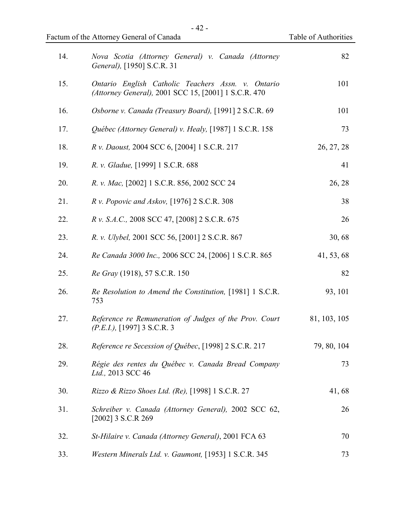| 14. | Nova Scotia (Attorney General) v. Canada (Attorney<br>General), [1950] S.C.R. 31                           | 82           |
|-----|------------------------------------------------------------------------------------------------------------|--------------|
| 15. | Ontario English Catholic Teachers Assn. v. Ontario<br>(Attorney General), 2001 SCC 15, [2001] 1 S.C.R. 470 | 101          |
| 16. | Osborne v. Canada (Treasury Board), [1991] 2 S.C.R. 69                                                     | 101          |
| 17. | Québec (Attorney General) v. Healy, [1987] 1 S.C.R. 158                                                    | 73           |
| 18. | R v. Daoust, 2004 SCC 6, [2004] 1 S.C.R. 217                                                               | 26, 27, 28   |
| 19. | R. v. Gladue, [1999] 1 S.C.R. 688                                                                          | 41           |
| 20. | R. v. Mac, [2002] 1 S.C.R. 856, 2002 SCC 24                                                                | 26, 28       |
| 21. | <i>R</i> v. Popovic and Askov, [1976] $2$ S.C.R. 308                                                       | 38           |
| 22. | R v. S.A.C., 2008 SCC 47, [2008] 2 S.C.R. 675                                                              | 26           |
| 23. | R. v. Ulybel, 2001 SCC 56, [2001] 2 S.C.R. 867                                                             | 30, 68       |
| 24. | Re Canada 3000 Inc., 2006 SCC 24, [2006] 1 S.C.R. 865                                                      | 41, 53, 68   |
| 25. | Re Gray (1918), 57 S.C.R. 150                                                                              | 82           |
| 26. | Re Resolution to Amend the Constitution, [1981] 1 S.C.R.<br>753                                            | 93, 101      |
| 27. | Reference re Remuneration of Judges of the Prov. Court<br>$(P.E.I.)$ , [1997] 3 S.C.R. 3                   | 81, 103, 105 |
| 28. | Reference re Secession of Québec, [1998] 2 S.C.R. 217                                                      | 79, 80, 104  |
| 29. | Régie des rentes du Québec v. Canada Bread Company<br>Ltd., 2013 SCC 46                                    | 73           |
| 30. | Rizzo & Rizzo Shoes Ltd. (Re), [1998] 1 S.C.R. 27                                                          | 41, 68       |
| 31. | Schreiber v. Canada (Attorney General), 2002 SCC 62,<br>$[2002]$ 3 S.C.R 269                               | 26           |
| 32. | St-Hilaire v. Canada (Attorney General), 2001 FCA 63                                                       | 70           |
| 33. | Western Minerals Ltd. v. Gaumont, [1953] 1 S.C.R. 345                                                      | 73           |

- 42 -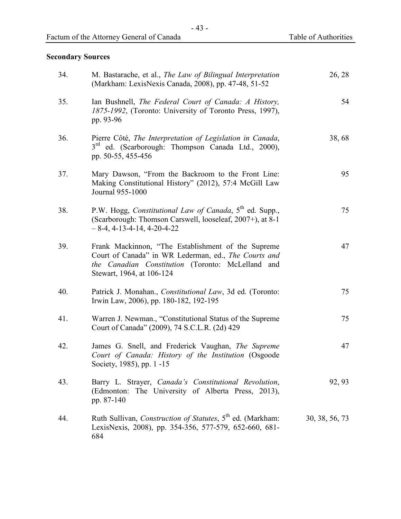# **Secondary Sources**

| 34. | M. Bastarache, et al., The Law of Bilingual Interpretation<br>(Markham: LexisNexis Canada, 2008), pp. 47-48, 51-52                                                                           | 26, 28         |
|-----|----------------------------------------------------------------------------------------------------------------------------------------------------------------------------------------------|----------------|
| 35. | Ian Bushnell, The Federal Court of Canada: A History,<br>1875-1992, (Toronto: University of Toronto Press, 1997),<br>pp. 93-96                                                               | 54             |
| 36. | Pierre Côté, The Interpretation of Legislation in Canada,<br>3 <sup>rd</sup> ed. (Scarborough: Thompson Canada Ltd., 2000),<br>pp. 50-55, 455-456                                            | 38, 68         |
| 37. | Mary Dawson, "From the Backroom to the Front Line:<br>Making Constitutional History" (2012), 57:4 McGill Law<br>Journal 955-1000                                                             | 95             |
| 38. | P.W. Hogg, Constitutional Law of Canada, 5th ed. Supp.,<br>(Scarborough: Thomson Carswell, looseleaf, 2007+), at 8-1<br>$-8-4, 4-13-4-14, 4-20-4-22$                                         | 75             |
| 39. | Frank Mackinnon, "The Establishment of the Supreme<br>Court of Canada" in WR Lederman, ed., The Courts and<br>the Canadian Constitution (Toronto: McLelland and<br>Stewart, 1964, at 106-124 | 47             |
| 40. | Patrick J. Monahan., Constitutional Law, 3d ed. (Toronto:<br>Irwin Law, 2006), pp. 180-182, 192-195                                                                                          | 75             |
| 41. | Warren J. Newman., "Constitutional Status of the Supreme<br>Court of Canada" (2009), 74 S.C.L.R. (2d) 429                                                                                    | 75             |
| 42. | James G. Snell, and Frederick Vaughan, The Supreme<br>Court of Canada: History of the Institution (Osgoode<br>Society, 1985), pp. 1 -15                                                      | 47             |
| 43. | Barry L. Strayer, Canada's Constitutional Revolution,<br>(Edmonton: The University of Alberta Press, 2013),<br>pp. 87-140                                                                    | 92, 93         |
| 44. | Ruth Sullivan, Construction of Statutes, 5 <sup>th</sup> ed. (Markham:<br>LexisNexis, 2008), pp. 354-356, 577-579, 652-660, 681-<br>684                                                      | 30, 38, 56, 73 |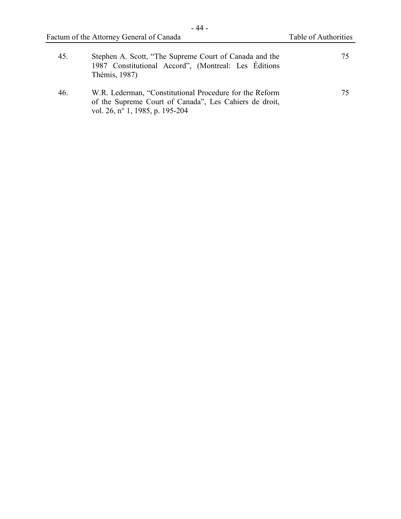<span id="page-47-0"></span>

| 45. | Stephen A. Scott, "The Supreme Court of Canada and the<br>1987 Constitutional Accord", (Montreal: Les Éditions<br>Thémis, 1987)                               |  |
|-----|---------------------------------------------------------------------------------------------------------------------------------------------------------------|--|
| 46. | W.R. Lederman, "Constitutional Procedure for the Reform<br>of the Supreme Court of Canada", Les Cahiers de droit,<br>vol. 26, $n^{\circ}$ 1, 1985, p. 195-204 |  |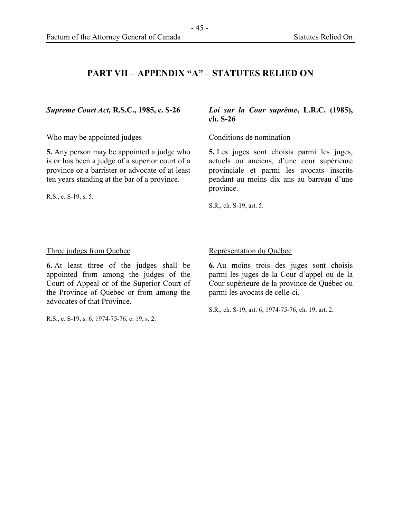# <span id="page-48-0"></span>**PART VII – APPENDIX "A" – STATUTES RELIED ON**

# Who may be appointed judges

**5.** Any person may be appointed a judge who is or has been a judge of a superior court of a province or a barrister or advocate of at least ten years standing at the bar of a province.

R.S., c. S-19, s. 5.

# *Supreme Court Act,* **R.S.C., 1985, c. S-26** *Loi sur la Cour suprême***, L.R.C. (1985), ch. S-26**

# Conditions de nomination

**5.** Les juges sont choisis parmi les juges, actuels ou anciens, d'une cour supérieure provinciale et parmi les avocats inscrits pendant au moins dix ans au barreau d'une province.

S.R., ch. S-19, art. 5.

#### Three judges from Quebec

**6.** At least three of the judges shall be appointed from among the judges of the Court of Appeal or of the Superior Court of the Province of Quebec or from among the advocates of that Province.

R.S., c. S-19, s. 6; 1974-75-76, c. 19, s. 2.

#### Représentation du Québec

**6.** Au moins trois des juges sont choisis parmi les juges de la Cour d'appel ou de la Cour supérieure de la province de Québec ou parmi les avocats de celle-ci.

S.R., ch. S-19, art. 6; 1974-75-76, ch. 19, art. 2.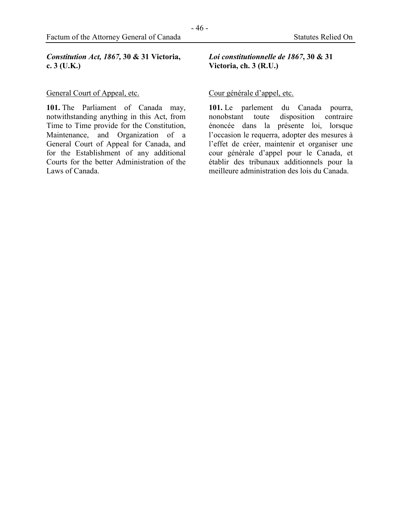# <span id="page-49-0"></span>*Constitution Act, 1867,* **30 & 31 Victoria, c. 3 (U.K.)**

#### General Court of Appeal, etc.

**101.** The Parliament of Canada may, notwithstanding anything in this Act, from Time to Time provide for the Constitution, Maintenance, and Organization of a General Court of Appeal for Canada, and for the Establishment of any additional Courts for the better Administration of the Laws of Canada.

# *Loi constitutionnelle de 1867***, 30 & 31 Victoria, ch. 3 (R.U.)**

#### Cour générale d'appel, etc.

**101.** Le parlement du Canada pourra, nonobstant toute disposition contraire énoncée dans la présente loi, lorsque l'occasion le requerra, adopter des mesures à l'effet de créer, maintenir et organiser une cour générale d'appel pour le Canada, et établir des tribunaux additionnels pour la meilleure administration des lois du Canada.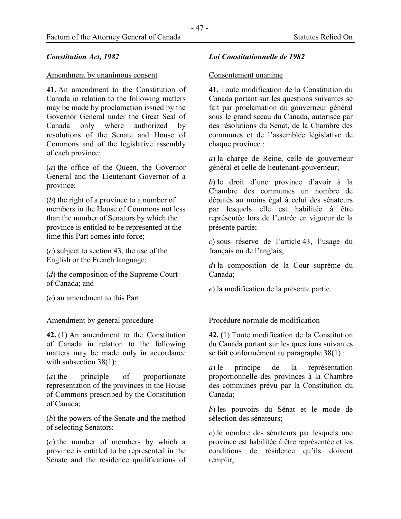# Amendment by unanimous consent

**41.** An amendment to the Constitution of Canada in relation to the following matters may be made by proclamation issued by the Governor General under the Great Seal of Canada only where authorized by resolutions of the Senate and House of Commons and of the legislative assembly of each province:

(*a*) the office of the Queen, the Governor General and the Lieutenant Governor of a province;

(*b*) the right of a province to a number of members in the House of Commons not less than the number of Senators by which the province is entitled to be represented at the time this Part comes into force;

(*c*) subject to section 43, the use of the English or the French language;

(*d*) the composition of the Supreme Court of Canada; and

(*e*) an amendment to this Part.

# Amendment by general procedure

**42.** (1) An amendment to the Constitution of Canada in relation to the following matters may be made only in accordance with subsection 38(1):

(*a*) the principle of proportionate representation of the provinces in the House of Commons prescribed by the Constitution of Canada;

(*b*) the powers of the Senate and the method of selecting Senators;

(*c*) the number of members by which a province is entitled to be represented in the Senate and the residence qualifications of

# *Constitution Act, 1982 Loi Constitutionnelle de 1982*

#### Consentement unanime

**41.** Toute modification de la Constitution du Canada portant sur les questions suivantes se fait par proclamation du gouverneur général sous le grand sceau du Canada, autorisée par des résolutions du Sénat, de la Chambre des communes et de l'assemblée législative de chaque province :

*a*) la charge de Reine, celle de gouverneur général et celle de lieutenant-gouverneur;

*b*) le droit d'une province d'avoir à la Chambre des communes un nombre de députés au moins égal à celui des sénateurs par lesquels elle est habilitée à être représentée lors de l'entrée en vigueur de la présente partie;

*c*) sous réserve de l'article 43, l'usage du français ou de l'anglais;

*d*) la composition de la Cour suprême du Canada;

*e*) la modification de la présente partie.

# Procédure normale de modification

**42.** (1) Toute modification de la Constitution du Canada portant sur les questions suivantes se fait conformément au paragraphe 38(1) :

*a*) le principe de la représentation proportionnelle des provinces à la Chambre des communes prévu par la Constitution du Canada;

*b*) les pouvoirs du Sénat et le mode de sélection des sénateurs;

*c*) le nombre des sénateurs par lesquels une province est habilitée à être représentée et les conditions de résidence qu'ils doivent remplir;